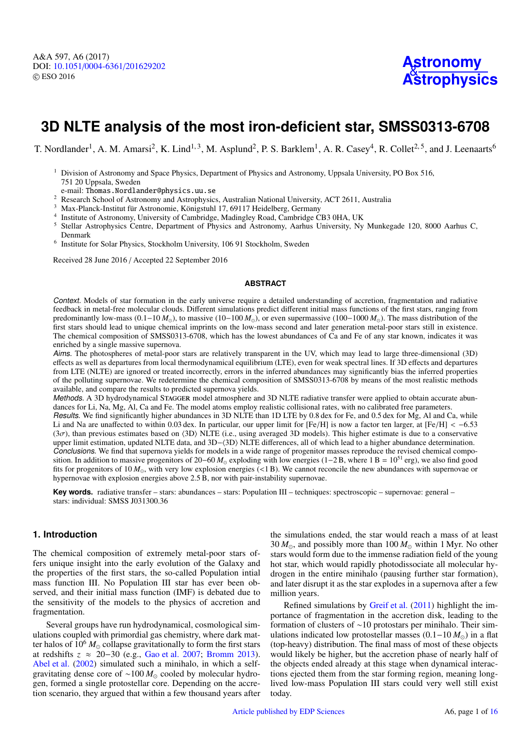

# **3D NLTE analysis of the most iron-deficient star, SMSS0313-6708**

T. Nordlander<sup>1</sup>, A. M. Amarsi<sup>2</sup>, K. Lind<sup>1,3</sup>, M. Asplund<sup>2</sup>, P. S. Barklem<sup>1</sup>, A. R. Casey<sup>4</sup>, R. Collet<sup>2,5</sup>, and J. Leenaarts<sup>6</sup>

- <sup>1</sup> Division of Astronomy and Space Physics, Department of Physics and Astronomy, Uppsala University, PO Box 516, 751 20 Uppsala, Sweden
- e-mail: Thomas.Nordlander@physics.uu.se
- <sup>2</sup> Research School of Astronomy and Astrophysics, Australian National University, ACT 2611, Australia
- <sup>3</sup> Max-Planck-Institut für Astronomie, Königstuhl 17, 69117 Heidelberg, Germany
- 4 Institute of Astronomy, University of Cambridge, Madingley Road, Cambridge CB3 0HA, UK
- <sup>5</sup> Stellar Astrophysics Centre, Department of Physics and Astronomy, Aarhus University, Ny Munkegade 120, 8000 Aarhus C, Denmark
- <sup>6</sup> Institute for Solar Physics, Stockholm University, 106 91 Stockholm, Sweden

Received 28 June 2016 / Accepted 22 September 2016

#### **ABSTRACT**

Context. Models of star formation in the early universe require a detailed understanding of accretion, fragmentation and radiative feedback in metal-free molecular clouds. Different simulations predict different initial mass functions of the first stars, ranging from predominantly low-mass (0.1–10  $M_{\odot}$ ), to massive (10–100  $M_{\odot}$ ), or even supermassive (100–1000  $M_{\odot}$ ). The mass distribution of the first stars should lead to unique chemical imprints on the low-mass second and later generation metal-poor stars still in existence. The chemical composition of SMSS0313-6708, which has the lowest abundances of Ca and Fe of any star known, indicates it was enriched by a single massive supernova.

Aims. The photospheres of metal-poor stars are relatively transparent in the UV, which may lead to large three-dimensional (3D) effects as well as departures from local thermodynamical equilibrium (LTE), even for weak spectral lines. If 3D effects and departures from LTE (NLTE) are ignored or treated incorrectly, errors in the inferred abundances may significantly bias the inferred properties of the polluting supernovae. We redetermine the chemical composition of SMSS0313-6708 by means of the most realistic methods available, and compare the results to predicted supernova yields.

Methods. A 3D hydrodynamical STAGGER model atmosphere and 3D NLTE radiative transfer were applied to obtain accurate abundances for Li, Na, Mg, Al, Ca and Fe. The model atoms employ realistic collisional rates, with no calibrated free parameters. Results. We find significantly higher abundances in 3D NLTE than 1D LTE by 0.8 dex for Fe, and 0.5 dex for Mg, Al and Ca, while Li and Na are unaffected to within 0.03 dex. In particular, our upper limit for  $[Fe/H]$  is now a factor ten larger, at  $[Fe/H] < -6.53$  $(3\sigma)$ , than previous estimates based on  $(3D)$  NLTE (i.e., using averaged 3D models). This higher estimate is due to a conservative upper limit estimation, updated NLTE data, and 3D-(3D) NLTE differences, all of which lead to a higher abundance determination. Conclusions. We find that supernova yields for models in a wide range of progenitor masses reproduce the revised chemical composition. In addition to massive progenitors of 20–60  $M_{\odot}$  exploding with low energies (1–2 B, where 1 B = 10<sup>51</sup> erg), we also find good fits for progenitors of 10  $M_{\odot}$ , with very low explosion energies (<1 B). We cannot reconcile the new abundances with supernovae or hypernovae with explosion energies above 2.5 B, nor with pair-instability supernovae.

**Key words.** radiative transfer – stars: abundances – stars: Population III – techniques: spectroscopic – supernovae: general – stars: individual: SMSS J031300.36

# **1. Introduction**

The chemical composition of extremely metal-poor stars offers unique insight into the early evolution of the Galaxy and the properties of the first stars, the so-called Population intial mass function III. No Population III star has ever been observed, and their initial mass function (IMF) is debated due to the sensitivity of the models to the physics of accretion and fragmentation.

Several groups have run hydrodynamical, cosmological simulations coupled with primordial gas chemistry, where dark matter halos of  $10^6 M_{\odot}$  collapse gravitationally to form the first stars at redshifts *z* ≈ 20−30 (e.g., [Gao et al.](#page-15-0) [2007;](#page-15-0) [Bromm](#page-15-1) [2013\)](#page-15-1). [Abel et al.](#page-15-2) [\(2002\)](#page-15-2) simulated such a minihalo, in which a selfgravitating dense core of ~100  $M_{\odot}$  cooled by molecular hydrogen, formed a single protostellar core. Depending on the accretion scenario, they argued that within a few thousand years after

the simulations ended, the star would reach a mass of at least  $30 M_{\odot}$ , and possibly more than  $100 M_{\odot}$  within 1 Myr. No other stars would form due to the immense radiation field of the young hot star, which would rapidly photodissociate all molecular hydrogen in the entire minihalo (pausing further star formation), and later disrupt it as the star explodes in a supernova after a few million years.

Refined simulations by [Greif et al.](#page-15-3) [\(2011\)](#page-15-3) highlight the importance of fragmentation in the accretion disk, leading to the formation of clusters of ∼10 protostars per minihalo. Their simulations indicated low protostellar masses  $(0.1-10 M<sub>o</sub>)$  in a flat (top-heavy) distribution. The final mass of most of these objects would likely be higher, but the accretion phase of nearly half of the objects ended already at this stage when dynamical interactions ejected them from the star forming region, meaning longlived low-mass Population III stars could very well still exist today.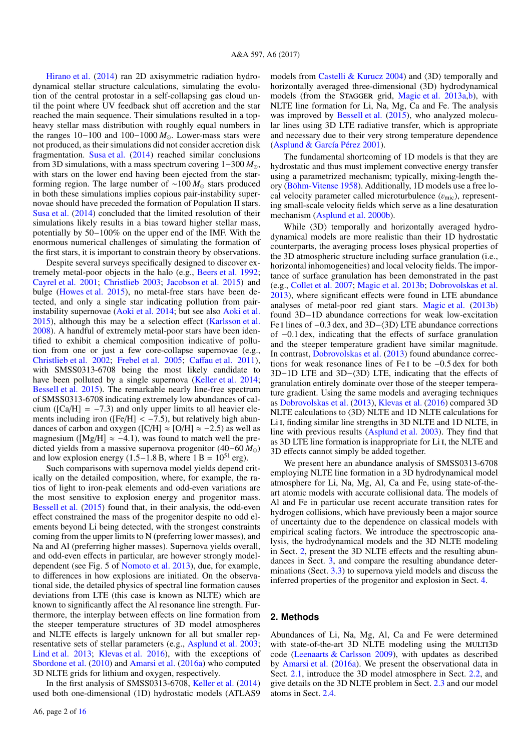[Hirano et al.](#page-15-5) [\(2014\)](#page-15-5) ran 2D axisymmetric radiation hydrodynamical stellar structure calculations, simulating the evolution of the central protostar in a self-collapsing gas cloud until the point where UV feedback shut off accretion and the star reached the main sequence. Their simulations resulted in a topheavy stellar mass distribution with roughly equal numbers in the ranges 10−100 and 100−1000 *M*. Lower-mass stars were not produced, as their simulations did not consider accretion disk fragmentation. [Susa et al.](#page-15-6) [\(2014\)](#page-15-6) reached similar conclusions from 3D simulations, with a mass spectrum covering 1−300 *M*, with stars on the lower end having been ejected from the starforming region. The large number of ∼100 *M* stars produced in both these simulations implies copious pair-instability supernovae should have preceded the formation of Population II stars. [Susa et al.](#page-15-6) [\(2014\)](#page-15-6) concluded that the limited resolution of their simulations likely results in a bias toward higher stellar mass, potentially by 50−100% on the upper end of the IMF. With the enormous numerical challenges of simulating the formation of the first stars, it is important to constrain theory by observations.

Despite several surveys specifically designed to discover extremely metal-poor objects in the halo (e.g., [Beers et al.](#page-15-7) [1992;](#page-15-7) [Cayrel et al.](#page-15-8) [2001;](#page-15-8) [Christlieb](#page-15-9) [2003;](#page-15-9) [Jacobson et al.](#page-15-10) [2015\)](#page-15-10) and bulge [\(Howes et al.](#page-15-11) [2015\)](#page-15-11), no metal-free stars have been detected, and only a single star indicating pollution from pairinstability supernovae [\(Aoki et al.](#page-15-12) [2014;](#page-15-12) but see also [Aoki et al.](#page-15-13) [2015\)](#page-15-13), although this may be a selection effect [\(Karlsson et al.](#page-15-14) [2008\)](#page-15-14). A handful of extremely metal-poor stars have been identified to exhibit a chemical composition indicative of pollution from one or just a few core-collapse supernovae (e.g., [Christlieb et al.](#page-15-15) [2002;](#page-15-15) [Frebel et al.](#page-15-16) [2005;](#page-15-16) Caff[au et al.](#page-15-17) [2011\)](#page-15-17), with SMSS0313-6708 being the most likely candidate to have been polluted by a single supernova [\(Keller et al.](#page-15-18) [2014;](#page-15-18) [Bessell et al.](#page-15-19) [2015\)](#page-15-19). The remarkable nearly line-free spectrum of SMSS0313-6708 indicating extremely low abundances of calcium ( $[Ca/H] = -7.3$ ) and only upper limits to all heavier ele-<br>ments including iron ( $[Fe/H] < -7.5$ ) but relatively high abunments including iron ([Fe/H] < -7.5), but relatively high abun-<br>dances of carbon and oxygen ([C/H]  $\approx$  [O/H]  $\approx$  -2.5) as well as dances of carbon and oxygen ( $\text{[C/H]} \approx \text{[O/H]} \approx -2.5$ ) as well as magnesium ( $[Mg/H] \approx -4.1$ ), was found to match well the pre-<br>dicted vields from a massive supernova progenitor (40–60 M) dicted yields from a massive supernova progenitor (40−60 *M*) and low explosion energy (1.5−1.8 B, where  $1 B = 10^{51}$  erg).

Such comparisons with supernova model yields depend critically on the detailed composition, where, for example, the ratios of light to iron-peak elements and odd-even variations are the most sensitive to explosion energy and progenitor mass. [Bessell et al.](#page-15-19) [\(2015\)](#page-15-19) found that, in their analysis, the odd-even effect constrained the mass of the progenitor despite no odd elements beyond Li being detected, with the strongest constraints coming from the upper limits to N (preferring lower masses), and Na and Al (preferring higher masses). Supernova yields overall, and odd-even effects in particular, are however strongly modeldependent (see Fig. 5 of [Nomoto et al.](#page-15-20) [2013\)](#page-15-20), due, for example, to differences in how explosions are initiated. On the observational side, the detailed physics of spectral line formation causes deviations from LTE (this case is known as NLTE) which are known to significantly affect the Al resonance line strength. Furthermore, the interplay between effects on line formation from the steeper temperature structures of 3D model atmospheres and NLTE effects is largely unknown for all but smaller representative sets of stellar parameters (e.g., [Asplund et al.](#page-15-21) [2003;](#page-15-21) [Lind et al.](#page-15-22) [2013;](#page-15-22) [Klevas et al.](#page-15-23) [2016\)](#page-15-23), with the exceptions of [Sbordone et al.](#page-15-24) [\(2010\)](#page-15-24) and [Amarsi et al.](#page-15-25) [\(2016a\)](#page-15-25) who computed 3D NLTE grids for lithium and oxygen, respectively.

In the first analysis of SMSS0313-6708, [Keller et al.](#page-15-18) [\(2014\)](#page-15-18) used both one-dimensional (1D) hydrostatic models (ATLAS9 models from [Castelli & Kurucz](#page-15-26)  $2004$ ) and  $\langle 3D \rangle$  temporally and horizontally averaged three-dimensional (3D) hydrodynamical models (from the STAGGER grid, [Magic et al.](#page-15-27) [2013a](#page-15-27)[,b\)](#page-15-28), with NLTE line formation for Li, Na, Mg, Ca and Fe. The analysis was improved by [Bessell et al.](#page-15-19) [\(2015\)](#page-15-19), who analyzed molecular lines using 3D LTE radiative transfer, which is appropriate and necessary due to their very strong temperature dependence [\(Asplund & García Pérez](#page-15-29) [2001\)](#page-15-29).

The fundamental shortcoming of 1D models is that they are hydrostatic and thus must implement convective energy transfer using a parametrized mechanism; typically, mixing-length theory [\(Böhm-Vitense](#page-15-30) [1958\)](#page-15-30). Additionally, 1D models use a free local velocity parameter called microturbulence  $(v_{\text{mic}})$ , representing small-scale velocity fields which serve as a line desaturation mechanism [\(Asplund et al.](#page-15-31) [2000b\)](#page-15-31).

While  $\langle 3D \rangle$  temporally and horizontally averaged hydrodynamical models are more realistic than their 1D hydrostatic counterparts, the averaging process loses physical properties of the 3D atmospheric structure including surface granulation (i.e., horizontal inhomogeneities) and local velocity fields. The importance of surface granulation has been demonstrated in the past (e.g., [Collet et al.](#page-15-32) [2007;](#page-15-32) [Magic et al.](#page-15-28) [2013b;](#page-15-28) [Dobrovolskas et al.](#page-15-33) [2013\)](#page-15-33), where significant effects were found in LTE abundance analyses of metal-poor red giant stars. [Magic et al.](#page-15-28) [\(2013b\)](#page-15-28) found 3D−1D abundance corrections for weak low-excitation Fe I lines of  $-0.3$  dex, and 3D $-\langle 3D \rangle$  LTE abundance corrections of <sup>−</sup>0.1 dex, indicating that the effects of surface granulation and the steeper temperature gradient have similar magnitude. In contrast, [Dobrovolskas et al.](#page-15-33) [\(2013\)](#page-15-33) found abundance corrections for weak resonance lines of Fe <sup>i</sup> to be <sup>−</sup>0.5 dex for both 3D−1D LTE and 3D− $\langle 3D \rangle$  LTE, indicating that the effects of granulation entirely dominate over those of the steeper temperature gradient. Using the same models and averaging techniques as [Dobrovolskas et al.](#page-15-33) [\(2013\)](#page-15-33), [Klevas et al.](#page-15-23) [\(2016\)](#page-15-23) compared 3D NLTE calculations to  $\langle 3D \rangle$  NLTE and 1D NLTE calculations for Li I, finding similar line strengths in 3D NLTE and 1D NLTE, in line with previous results [\(Asplund et al.](#page-15-21) [2003\)](#page-15-21). They find that as 3D LTE line formation is inappropriate for Li<sub>I</sub>, the NLTE and 3D effects cannot simply be added together.

We present here an abundance analysis of SMSS0313-6708 employing NLTE line formation in a 3D hydrodynamical model atmosphere for Li, Na, Mg, Al, Ca and Fe, using state-of-theart atomic models with accurate collisional data. The models of Al and Fe in particular use recent accurate transition rates for hydrogen collisions, which have previously been a major source of uncertainty due to the dependence on classical models with empirical scaling factors. We introduce the spectroscopic analysis, the hydrodynamical models and the 3D NLTE modeling in Sect. [2,](#page-1-0) present the 3D NLTE effects and the resulting abundances in Sect. [3,](#page-6-0) and compare the resulting abundance determinations (Sect. [3.3\)](#page-10-0) to supernova yield models and discuss the inferred properties of the progenitor and explosion in Sect. [4.](#page-12-0)

# <span id="page-1-0"></span>**2. Methods**

Abundances of Li, Na, Mg, Al, Ca and Fe were determined with state-of-the-art 3D NLTE modeling using the MULTI3D code [\(Leenaarts & Carlsson](#page-15-34) [2009\)](#page-15-34), with updates as described by [Amarsi et al.](#page-15-25) [\(2016a\)](#page-15-25). We present the observational data in Sect. [2.1,](#page-2-0) introduce the 3D model atmosphere in Sect. [2.2,](#page-2-1) and give details on the 3D NLTE problem in Sect. [2.3](#page-3-0) and our model atoms in Sect. [2.4.](#page-3-1)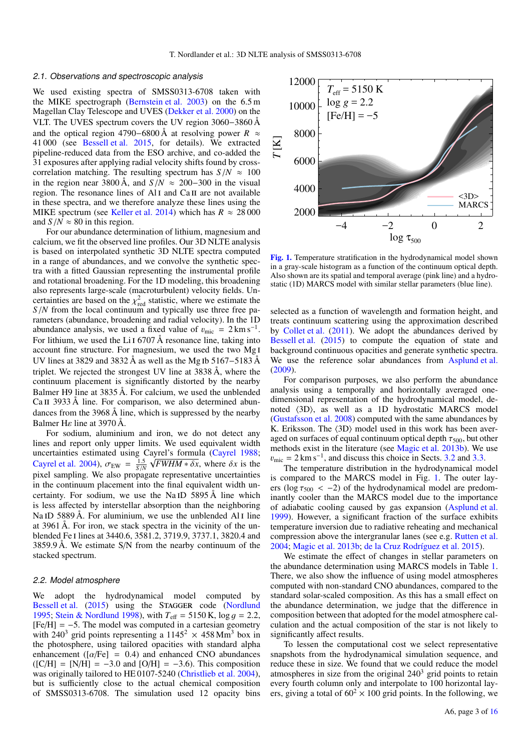#### <span id="page-2-0"></span>2.1. Observations and spectroscopic analysis

We used existing spectra of SMSS0313-6708 taken with the MIKE spectrograph [\(Bernstein et al.](#page-15-35) [2003\)](#page-15-35) on the 6.5 m Magellan Clay Telescope and UVES [\(Dekker et al.](#page-15-36) [2000\)](#page-15-36) on the VLT. The UVES spectrum covers the UV region 3060−3860 Å and the optical region 4790−6800 Å at resolving power *R* ≈ 41 000 (see [Bessell et al.](#page-15-19) [2015,](#page-15-19) for details). We extracted pipeline-reduced data from the ESO archive, and co-added the 31 exposures after applying radial velocity shifts found by crosscorrelation matching. The resulting spectrum has  $S/N \approx 100$ in the region near 3800 Å, and  $S/N \approx 200-300$  in the visual region. The resonance lines of Al<sub>I</sub> and Ca<sub>II</sub> are not available in these spectra, and we therefore analyze these lines using the MIKE spectrum (see [Keller et al.](#page-15-18) [2014\)](#page-15-18) which has  $R \approx 28000$ and  $S/N \approx 80$  in this region.

For our abundance determination of lithium, magnesium and calcium, we fit the observed line profiles. Our 3D NLTE analysis is based on interpolated synthetic 3D NLTE spectra computed in a range of abundances, and we convolve the synthetic spectra with a fitted Gaussian representing the instrumental profile and rotational broadening. For the 1D modeling, this broadening also represents large-scale (macroturbulent) velocity fields. Uncertainties are based on the  $\chi^2_{\text{red}}$  statistic, where we estimate the  $S/N$  from the local continuum and typically use three free pa-*<sup>S</sup>*/*<sup>N</sup>* from the local continuum and typically use three free parameters (abundance, broadening and radial velocity). In the 1D abundance analysis, we used a fixed value of  $v_{\text{mic}} = 2 \text{ km s}^{-1}$ .<br>For lithium, we used the Lit 6707  $\AA$  resonance line, taking into For lithium, we used the Li<sub>I</sub> 6707 Å resonance line, taking into account fine structure. For magnesium, we used the two Mg i UV lines at 3829 and 3832 Å as well as the Mg ib 5167−5183 Å triplet. We rejected the strongest UV line at 3838 Å, where the continuum placement is significantly distorted by the nearby Balmer H9 line at 3835 Å. For calcium, we used the unblended Ca II 3933 Å line. For comparison, we also determined abundances from the 3968 Å line, which is suppressed by the nearby Balmer H $\varepsilon$  line at 3970 Å.

For sodium, aluminium and iron, we do not detect any lines and report only upper limits. We used equivalent width uncertainties estimated using Cayrel's formula [\(Cayrel](#page-15-37) [1988;](#page-15-37) [Cayrel et al.](#page-15-38) [2004\)](#page-15-38),  $\sigma_{EW} = \frac{1.5}{5} \sqrt{FWHM * \delta x}$ , where  $\delta x$  is the pixel sampling. We also propose representative uncertainties  $\frac{S_{\text{GUT}}}{S_N}$  we also propagate representative uncertainties in the continuum placement into the final equivalent width uncertainty. For sodium, we use the Na iD 5895 Å line which is less affected by interstellar absorption than the neighboring Na ID 5889 Å. For aluminium, we use the unblended Al I line at 3961 Å. For iron, we stack spectra in the vicinity of the unblended Fe i lines at 3440.6, 3581.2, 3719.9, 3737.1, 3820.4 and 3859.9 Å. We estimate S/N from the nearby continuum of the stacked spectrum.

## <span id="page-2-1"></span>2.2. Model atmosphere

We adopt the hydrodynamical model computed by [Bessell et al.](#page-15-19) [\(2015\)](#page-15-19) using the STAGGER code [\(Nordlund](#page-15-39) [1995;](#page-15-39) [Stein & Nordlund](#page-15-40) [1998\)](#page-15-40), with *<sup>T</sup>*eff <sup>=</sup> 5150 K, log <sup>g</sup> <sup>=</sup> <sup>2</sup>.2,  $[Fe/H] = -5$ . The model was computed in a cartesian geometry with 240<sup>3</sup> grid points representing a  $1145^2 \times 458$  Mm<sup>3</sup> box in the photosphere, using tailored opacities with standard alpha enhancement ( $\lceil \alpha/\text{Fe} \rceil = 0.4$ ) and enhanced CNO abundances  $([C/H] = [N/H] = -3.0$  and  $[O/H] = -3.6$ ). This composition was originally tailored to HE 0107-5240 [\(Christlieb et al.](#page-15-41) [2004\)](#page-15-41), but is sufficiently close to the actual chemical composition of SMSS0313-6708. The simulation used 12 opacity bins



<span id="page-2-2"></span>[Fig. 1.](http://dexter.edpsciences.org/applet.php?DOI=10.1051/0004-6361/201629202&pdf_id=1) Temperature stratification in the hydrodynamical model shown in a gray-scale histogram as a function of the continuum optical depth. Also shown are its spatial and temporal average (pink line) and a hydrostatic (1D) MARCS model with similar stellar parameters (blue line).

selected as a function of wavelength and formation height, and treats continuum scattering using the approximation described by [Collet et al.](#page-15-42) [\(2011\)](#page-15-42). We adopt the abundances derived by [Bessell et al.](#page-15-19) [\(2015\)](#page-15-19) to compute the equation of state and background continuous opacities and generate synthetic spectra. We use the reference solar abundances from [Asplund et al.](#page-15-43) [\(2009\)](#page-15-43).

For comparison purposes, we also perform the abundance analysis using a temporally and horizontally averaged onedimensional representation of the hydrodynamical model, denoted  $\langle 3D \rangle$ , as well as a 1D hydrostatic MARCS model [\(Gustafsson et al.](#page-15-44) [2008\)](#page-15-44) computed with the same abundances by K. Eriksson. The  $\langle 3D \rangle$  model used in this work has been averaged on surfaces of equal continuum optical depth  $\tau_{500}$ , but other methods exist in the literature (see [Magic et al.](#page-15-28) [2013b\)](#page-15-28). We use  $v_{\text{mic}} = 2 \text{ km s}^{-1}$ , and discuss this choice in Sects. [3.2](#page-6-1) and [3.3.](#page-10-0)<br>The temperature distribution in the hydrodynamical mo-

The temperature distribution in the hydrodynamical model is compared to the MARCS model in Fig. [1.](#page-2-2) The outer layers (log  $\tau_{500}$  < -2) of the hydrodynamical model are predominantly cooler than the MARCS model due to the importance of adiabatic cooling caused by gas expansion [\(Asplund et al.](#page-15-45) [1999\)](#page-15-45). However, a significant fraction of the surface exhibits temperature inversion due to radiative reheating and mechanical compression above the intergranular lanes (see e.g. [Rutten et al.](#page-15-46) [2004;](#page-15-46) [Magic et al.](#page-15-28) [2013b;](#page-15-28) [de la Cruz Rodríguez et al.](#page-15-47) [2015\)](#page-15-47).

We estimate the effect of changes in stellar parameters on the abundance determination using MARCS models in Table [1.](#page-3-2) There, we also show the influence of using model atmospheres computed with non-standard CNO abundances, compared to the standard solar-scaled composition. As this has a small effect on the abundance determination, we judge that the difference in composition between that adopted for the model atmosphere calculation and the actual composition of the star is not likely to significantly affect results.

To lessen the computational cost we select representative snapshots from the hydrodynamical simulation sequence, and reduce these in size. We found that we could reduce the model atmospheres in size from the original  $240<sup>3</sup>$  grid points to retain every fourth column only and interpolate to 100 horizontal layers, giving a total of  $60^2 \times 100$  grid points. In the following, we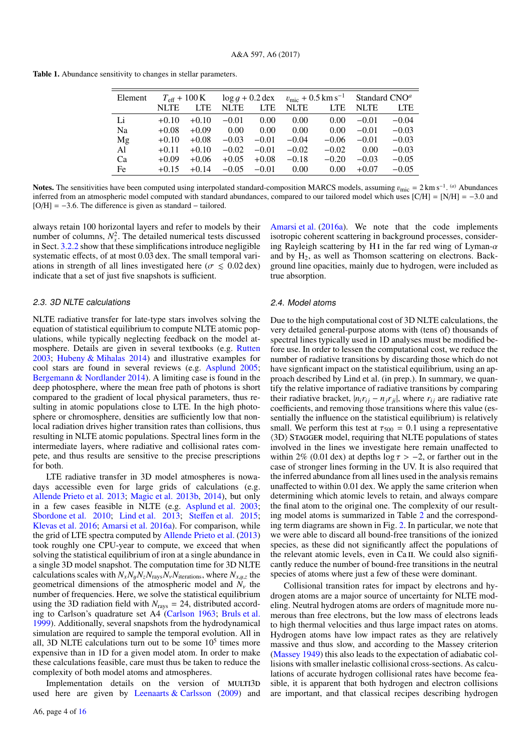<span id="page-3-2"></span>Table 1. Abundance sensitivity to changes in stellar parameters.

| Element | $T_{\text{eff}} + 100 \text{ K}$ |            | $\log q + 0.2$ dex |            | $v_{\rm mic} + 0.5 \, {\rm km \, s^{-1}}$ |            | Standard $CNOa$ |            |
|---------|----------------------------------|------------|--------------------|------------|-------------------------------------------|------------|-----------------|------------|
|         | <b>NLTE</b>                      | <b>LTE</b> | <b>NLTE</b>        | <b>LTE</b> | <b>NLTE</b>                               | <b>LTE</b> | <b>NLTE</b>     | <b>LTE</b> |
| Li      | $+0.10$                          | $+0.10$    | $-0.01$            | 0.00       | 0.00                                      | 0.00       | $-0.01$         | $-0.04$    |
| Na      | $+0.08$                          | $+0.09$    | 0.00               | 0.00       | 0.00                                      | 0.00       | $-0.01$         | $-0.03$    |
| Mg      | $+0.10$                          | $+0.08$    | $-0.03$            | $-0.01$    | $-0.04$                                   | $-0.06$    | $-0.01$         | $-0.03$    |
| Al      | $+0.11$                          | $+0.10$    | $-0.02$            | $-0.01$    | $-0.02$                                   | $-0.02$    | 0.00            | $-0.03$    |
| Ca      | $+0.09$                          | $+0.06$    | $+0.05$            | $+0.08$    | $-0.18$                                   | $-0.20$    | $-0.03$         | $-0.05$    |
| Fe      | $+0.15$                          | $+0.14$    | $-0.05$            | $-0.01$    | 0.00                                      | 0.00       | $+0.07$         | $-0.05$    |
|         |                                  |            |                    |            |                                           |            |                 |            |

**Notes.** The sensitivities have been computed using interpolated standard-composition MARCS models, assuming  $v_{\text{mic}} = 2 \text{ km s}^{-1}$ . <sup>(*a*)</sup> Abundances inferred from an atmospheric model computed with standard abundances c inferred from an atmospheric model computed with standard abundances, compared to our tailored model which uses  $[C/H] = [N/H] = -3.0$  and [O/H] <sup>=</sup> <sup>−</sup>3.6. The difference is given as standard <sup>−</sup> tailored.

always retain 100 horizontal layers and refer to models by their number of columns,  $N_x^2$ . The detailed numerical tests discussed in Sect. [3.2.2](#page-10-1) show that these simplifications introduce negligible systematic effects, of at most 0.03 dex. The small temporal variations in strength of all lines investigated here ( $\sigma \le 0.02$  dex) indicate that a set of just five snapshots is sufficient.

# <span id="page-3-0"></span>2.3. 3D NLTE calculations

NLTE radiative transfer for late-type stars involves solving the equation of statistical equilibrium to compute NLTE atomic populations, while typically neglecting feedback on the model atmosphere. Details are given in several textbooks (e.g. [Rutten](#page-15-48) [2003;](#page-15-48) [Hubeny & Mihalas](#page-15-49) [2014\)](#page-15-49) and illustrative examples for cool stars are found in several reviews (e.g. [Asplund](#page-15-50) [2005;](#page-15-50) [Bergemann & Nordlander](#page-15-51) [2014\)](#page-15-51). A limiting case is found in the deep photosphere, where the mean free path of photons is short compared to the gradient of local physical parameters, thus resulting in atomic populations close to LTE. In the high photosphere or chromosphere, densities are sufficiently low that nonlocal radiation drives higher transition rates than collisions, thus resulting in NLTE atomic populations. Spectral lines form in the intermediate layers, where radiative and collisional rates compete, and thus results are sensitive to the precise prescriptions for both.

LTE radiative transfer in 3D model atmospheres is nowadays accessible even for large grids of calculations (e.g. [Allende Prieto et al.](#page-15-52) [2013;](#page-15-52) [Magic et al.](#page-15-28) [2013b,](#page-15-28) [2014\)](#page-15-53), but only in a few cases feasible in NLTE (e.g. [Asplund et al.](#page-15-21) [2003;](#page-15-21) [Sbordone et al.](#page-15-24) [2010;](#page-15-24) [Lind et al.](#page-15-22) [2013;](#page-15-22) Steff[en et al.](#page-15-54) [2015;](#page-15-54) [Klevas et al.](#page-15-23) [2016;](#page-15-23) [Amarsi et al.](#page-15-25) [2016a\)](#page-15-25). For comparison, while the grid of LTE spectra computed by [Allende Prieto et al.](#page-15-52) [\(2013\)](#page-15-52) took roughly one CPU-year to compute, we exceed that when solving the statistical equilibrium of iron at a single abundance in a single 3D model snapshot. The computation time for 3D NLTE calculations scales with  $N_xN_yN_zN_{\text{rays}}N_yN_{\text{iterations}}$ , where  $N_{x,y,z}$  the seconditions of the atmospheric model and  $N$  the geometrical dimensions of the atmospheric model and  $N_{\nu}$  the number of frequencies. Here, we solve the statistical equilibrium using the 3D radiation field with  $N_{\text{rays}} = 24$ , distributed according to Carlson's quadrature set A4 [\(Carlson](#page-15-55) [1963;](#page-15-55) [Bruls et al.](#page-15-56) [1999\)](#page-15-56). Additionally, several snapshots from the hydrodynamical simulation are required to sample the temporal evolution. All in all, 3D NLTE calculations turn out to be some  $10<sup>5</sup>$  times more expensive than in 1D for a given model atom. In order to make these calculations feasible, care must thus be taken to reduce the complexity of both model atoms and atmospheres.

Implementation details on the version of MULTI3D used here are given by Leenaarts  $&$  Carlsson [\(2009\)](#page-15-34) and

[Amarsi et al.](#page-15-25) [\(2016a\)](#page-15-25). We note that the code implements isotropic coherent scattering in background processes, considering Rayleigh scattering by H<sub>I</sub> in the far red wing of Lyman- $\alpha$ and by  $H_2$ , as well as Thomson scattering on electrons. Background line opacities, mainly due to hydrogen, were included as true absorption.

# <span id="page-3-1"></span>2.4. Model atoms

Due to the high computational cost of 3D NLTE calculations, the very detailed general-purpose atoms with (tens of) thousands of spectral lines typically used in 1D analyses must be modified before use. In order to lessen the computational cost, we reduce the number of radiative transitions by discarding those which do not have signficant impact on the statistical equilibrium, using an approach described by Lind et al. (in prep.). In summary, we quantify the relative importance of radiative transitions by comparing their radiative bracket,  $|n_i r_{ij} - n_j r_{ji}|$ , where  $r_{ij}$  are radiative rate coefficients, and removing those transitions where this value (essentially the influence on the statistical equilibrium) is relatively small. We perform this test at  $\tau_{500} = 0.1$  using a representative  $\langle 3D \rangle$  STAGGER model, requiring that NLTE populations of states involved in the lines we investigate here remain unaffected to within 2% (0.01 dex) at depths  $\log \tau > -2$ , or farther out in the case of stronger lines forming in the UV. It is also required that the inferred abundance from all lines used in the analysis remains unaffected to within 0.01 dex. We apply the same criterion when determining which atomic levels to retain, and always compare the final atom to the original one. The complexity of our resulting model atoms is summarized in Table [2](#page-4-0) and the corresponding term diagrams are shown in Fig. [2.](#page-4-1) In particular, we note that we were able to discard all bound-free transitions of the ionized species, as these did not significantly affect the populations of the relevant atomic levels, even in Ca II. We could also significantly reduce the number of bound-free transitions in the neutral species of atoms where just a few of these were dominant.

Collisional transition rates for impact by electrons and hydrogen atoms are a major source of uncertainty for NLTE modeling. Neutral hydrogen atoms are orders of magnitude more numerous than free electrons, but the low mass of electrons leads to high thermal velocities and thus large impact rates on atoms. Hydrogen atoms have low impact rates as they are relatively massive and thus slow, and according to the Massey criterion [\(Massey](#page-15-57) [1949\)](#page-15-57) this also leads to the expectation of adiabatic collisions with smaller inelastic collisional cross-sections. As calculations of accurate hydrogen collisional rates have become feasible, it is apparent that both hydrogen and electron collisions are important, and that classical recipes describing hydrogen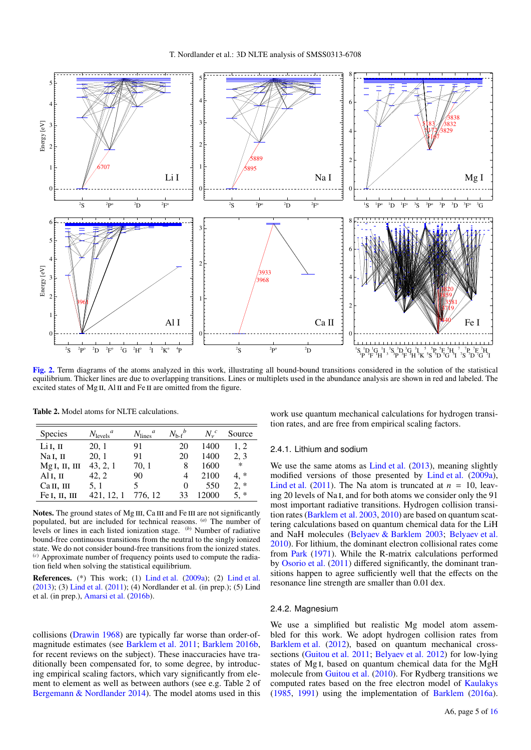

<span id="page-4-1"></span>[Fig. 2.](http://dexter.edpsciences.org/applet.php?DOI=10.1051/0004-6361/201629202&pdf_id=2) Term diagrams of the atoms analyzed in this work, illustrating all bound-bound transitions considered in the solution of the statistical equilibrium. Thicker lines are due to overlapping transitions. Lines or multiplets used in the abundance analysis are shown in red and labeled. The excited states of Mg II, Al II and Fe II are omitted from the figure.

| <b>Species</b>       | $N_{\text{levels}}^a$ | $N_{\rm lines}^{\phantom{1}}^{\phantom{1}}$ | $N_{\rm b-f}{}^b$ | $N_{y}^{c}$ | Source |
|----------------------|-----------------------|---------------------------------------------|-------------------|-------------|--------|
| Li I, II             | 20, 1                 | 91                                          | 20                | 1400        | 1, 2   |
| Na <sub>I</sub> , II | 20, 1                 | 91                                          | 20                | 1400        | 2, 3   |
| MgI, II, III         | 43, 2, 1              | 70, 1                                       | 8                 | 1600        | $\ast$ |
| Al <sub>I</sub> , II | 42, 2                 | 90                                          | 4                 | 2100        | 4.*    |
| Сан, ш               | 5, 1                  | 5                                           | $\theta$          | 550         | $2, *$ |
| Fe I, II, III        | 421, 12, 1            | 776.12                                      | 33                | 12000       | $5, *$ |

<span id="page-4-0"></span>Table 2. Model atoms for NLTE calculations.

Notes. The ground states of Mg III, Ca III and Fe III are not significantly populated, but are included for technical reasons. (*a*) The number of levels or lines in each listed ionization stage. (*b*) Number of radiative bound-free continuous transitions from the neutral to the singly ionized state. We do not consider bound-free transitions from the ionized states. (*c*) Approximate number of frequency points used to compute the radiation field when solving the statistical equilibrium.

References. (\*) This work; (1) [Lind et al.](#page-15-58) [\(2009a\)](#page-15-58); (2) [Lind et al.](#page-15-22) [\(2013\)](#page-15-22); (3) [Lind et al.](#page-15-59) [\(2011\)](#page-15-59); (4) Nordlander et al. (in prep.); (5) Lind et al. (in prep.), [Amarsi et al.](#page-15-60) [\(2016b\)](#page-15-60).

collisions [\(Drawin](#page-15-61) [1968\)](#page-15-61) are typically far worse than order-ofmagnitude estimates (see [Barklem et al.](#page-15-62) [2011;](#page-15-62) [Barklem](#page-15-63) [2016b,](#page-15-63) for recent reviews on the subject). These inaccuracies have traditionally been compensated for, to some degree, by introducing empirical scaling factors, which vary significantly from element to element as well as between authors (see e.g. Table 2 of [Bergemann & Nordlander](#page-15-51) [2014\)](#page-15-51). The model atoms used in this

work use quantum mechanical calculations for hydrogen transition rates, and are free from empirical scaling factors.

#### 2.4.1. Lithium and sodium

We use the same atoms as [Lind et al.](#page-15-22) [\(2013\)](#page-15-22), meaning slightly modified versions of those presented by [Lind et al.](#page-15-58) [\(2009a\)](#page-15-58), [Lind et al.](#page-15-59) [\(2011\)](#page-15-59). The Na atom is truncated at  $n = 10$ , leaving 20 levels of Na<sub>I</sub>, and for both atoms we consider only the 91 most important radiative transitions. Hydrogen collision transition rates [\(Barklem et al.](#page-15-64) [2003,](#page-15-64) [2010\)](#page-15-65) are based on quantum scattering calculations based on quantum chemical data for the LiH and NaH molecules [\(Belyaev & Barklem](#page-15-66) [2003;](#page-15-66) [Belyaev et al.](#page-15-67) [2010\)](#page-15-67). For lithium, the dominant electron collisional rates come from [Park](#page-15-68) [\(1971\)](#page-15-68). While the R-matrix calculations performed by [Osorio et al.](#page-15-69) [\(2011\)](#page-15-69) differed significantly, the dominant transitions happen to agree sufficiently well that the effects on the resonance line strength are smaller than 0.01 dex.

## 2.4.2. Magnesium

We use a simplified but realistic Mg model atom assembled for this work. We adopt hydrogen collision rates from [Barklem et al.](#page-15-70) [\(2012\)](#page-15-70), based on quantum mechanical crosssections [\(Guitou et al.](#page-15-71) [2011;](#page-15-71) [Belyaev et al.](#page-15-72) [2012\)](#page-15-72) for low-lying states of Mg i, based on quantum chemical data for the MgH molecule from [Guitou et al.](#page-15-73) [\(2010\)](#page-15-73). For Rydberg transitions we computed rates based on the free electron model of [Kaulakys](#page-15-74) [\(1985,](#page-15-74) [1991\)](#page-15-75) using the implementation of [Barklem](#page-15-76) [\(2016a\)](#page-15-76).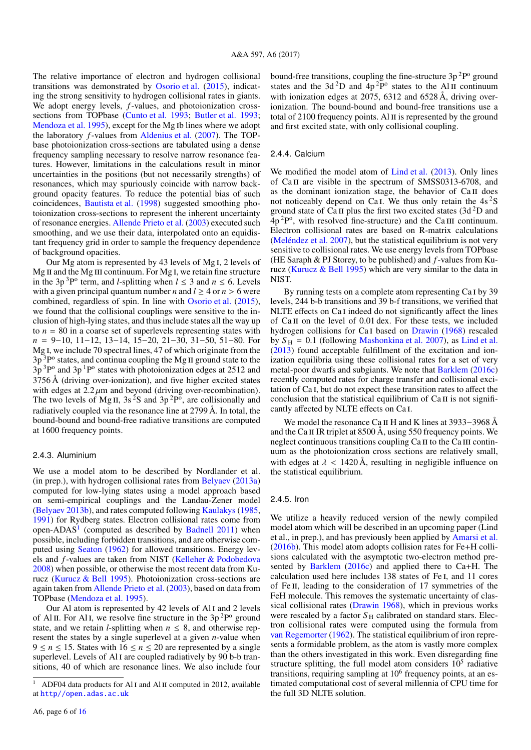The relative importance of electron and hydrogen collisional transitions was demonstrated by [Osorio et al.](#page-15-77) [\(2015\)](#page-15-77), indicating the strong sensitivity to hydrogen collisional rates in giants. We adopt energy levels, *f*-values, and photoionization cross-sections from TOPbase [\(Cunto et al.](#page-15-78) [1993;](#page-15-79) [Butler et al.](#page-15-79) 1993; [Mendoza et al.](#page-15-80) [1995\)](#page-15-80), except for the Mg ib lines where we adopt the laboratory *f*-values from [Aldenius et al.](#page-15-81) [\(2007\)](#page-15-81). The TOPbase photoionization cross-sections are tabulated using a dense frequency sampling necessary to resolve narrow resonance features. However, limitations in the calculations result in minor uncertainties in the positions (but not necessarily strengths) of resonances, which may spuriously coincide with narrow background opacity features. To reduce the potential bias of such coincidences, [Bautista et al.](#page-15-82) [\(1998\)](#page-15-82) suggested smoothing photoionization cross-sections to represent the inherent uncertainty of resonance energies. [Allende Prieto et al.](#page-15-83) [\(2003\)](#page-15-83) executed such smoothing, and we use their data, interpolated onto an equidistant frequency grid in order to sample the frequency dependence of background opacities.

Our Mg atom is represented by 43 levels of Mg i, 2 levels of  $Mg$  II and the Mg III continuum. For Mg I, we retain fine structure in the 3p<sup>3</sup>P<sup>o</sup> term, and *l*-splitting when  $l \le 3$  and  $n \le 6$ . Levels with a given principal quantum number *n* and  $l \ge 4$  or  $n > 6$  were combined, regardless of spin. In line with [Osorio et al.](#page-15-77) [\(2015\)](#page-15-77), we found that the collisional couplings were sensitive to the inclusion of high-lying states, and thus include states all the way up to  $n = 80$  in a coarse set of superlevels representing states with *n* = 9−10, 11−12, 13−14, 15−20, 21−30, 31−50, 51−80. For Mg i, we include 70 spectral lines, 47 of which originate from the  $3p<sup>3</sup>P<sup>o</sup>$  states, and continua coupling the Mg II ground state to the  $3p<sup>3</sup>P<sup>o</sup>$  and  $3p<sup>1</sup>P<sup>o</sup>$  states with photoionization edges at 2512 and 3756 Å (driving over-ionization), and five higher excited states with edges at  $2.2 \mu m$  and beyond (driving over-recombination).<br>The two levels of Mg II, 3s<sup>2</sup>S and 3p<sup>2</sup>P°, are collisionally and radiatively coupled via the resonance line at 2799 Å. In total, the bound-bound and bound-free radiative transitions are computed at 1600 frequency points.

# 2.4.3. Aluminium

We use a model atom to be described by Nordlander et al. (in prep.), with hydrogen collisional rates from [Belyaev](#page-15-84) [\(2013a\)](#page-15-84) computed for low-lying states using a model approach based on semi-empirical couplings and the Landau-Zener model [\(Belyaev](#page-15-85) [2013b\)](#page-15-85), and rates computed following [Kaulakys](#page-15-74) [\(1985,](#page-15-74) [1991\)](#page-15-75) for Rydberg states. Electron collisional rates come from open-ADAS<sup>[1](#page-5-0)</sup> (computed as described by [Badnell](#page-15-86) [2011\)](#page-15-86) when possible, including forbidden transitions, and are otherwise computed using [Seaton](#page-15-87) [\(1962\)](#page-15-87) for allowed transitions. Energy levels and *f*-values are taken from NIST [\(Kelleher & Podobedova](#page-15-88) [2008\)](#page-15-88) when possible, or otherwise the most recent data from Kurucz [\(Kurucz & Bell](#page-15-89) [1995\)](#page-15-89). Photoionization cross-sections are again taken from [Allende Prieto et al.](#page-15-83) [\(2003\)](#page-15-83), based on data from TOPbase [\(Mendoza et al.](#page-15-80) [1995\)](#page-15-80).

Our Al atom is represented by 42 levels of Al i and 2 levels of Al II. For Al I, we resolve fine structure in the  $3p<sup>2</sup>P<sup>o</sup>$  ground state, and we retain *l*-splitting when  $n \leq 8$ , and otherwise represent the states by a single superlevel at a given *n*-value when  $9 \le n \le 15$ . States with  $16 \le n \le 20$  are represented by a single superlevel. Levels of Al I are coupled radiatively by 90 b-b transitions, 40 of which are resonance lines. We also include four

# 2.4.4. Calcium

We modified the model atom of [Lind et al.](#page-15-22) [\(2013\)](#page-15-22). Only lines of Ca II are visible in the spectrum of SMSS0313-6708, and as the dominant ionization stage, the behavior of Ca<sub>II</sub> does not noticeably depend on Ca<sub>I</sub>. We thus only retain the  $4s<sup>2</sup>S$ ground state of Ca II plus the first two excited states  $(3d<sup>2</sup>D)$  and  $4p<sup>2</sup>P<sup>o</sup>$ , with resolved fine-structure) and the Ca III continuum. Electron collisional rates are based on R-matrix calculations [\(Meléndez et al.](#page-15-90) [2007\)](#page-15-90), but the statistical equilibrium is not very sensitive to collisional rates. We use energy levels from TOPbase (HE Saraph & PJ Storey, to be published) and *f*-values from Kurucz [\(Kurucz & Bell](#page-15-89) [1995\)](#page-15-89) which are very similar to the data in NIST.

By running tests on a complete atom representing Ca I by 39 levels, 244 b-b transitions and 39 b-f transitions, we verified that NLTE effects on Ca<sub>I</sub> indeed do not significantly affect the lines of Ca<sub>II</sub> on the level of 0.01 dex. For these tests, we included hydrogen collisions for Ca<sub>I</sub> based on [Drawin](#page-15-61) [\(1968\)](#page-15-61) rescaled by  $S_H = 0.1$  (following [Mashonkina et al.](#page-15-91) [2007\)](#page-15-91), as [Lind et al.](#page-15-22) [\(2013\)](#page-15-22) found acceptable fulfillment of the excitation and ionization equilibria using these collisional rates for a set of very metal-poor dwarfs and subgiants. We note that [Barklem](#page-15-92) [\(2016c\)](#page-15-92) recently computed rates for charge transfer and collisional excitation of Ca i, but do not expect these transition rates to affect the conclusion that the statistical equilibrium of  $Ca II$  is not significantly affected by NLTE effects on Ca i.

We model the resonance Ca II H and K lines at 3933–3968 Å and the Ca II IR triplet at  $8500 \text{ Å}$ , using 550 frequency points. We neglect continuous transitions coupling Ca II to the Ca III continuum as the photoionization cross sections are relatively small, with edges at  $\lambda$  < 1420 Å, resulting in negligible influence on the statistical equilibrium.

#### 2.4.5. Iron

We utilize a heavily reduced version of the newly compiled model atom which will be described in an upcoming paper (Lind et al., in prep.), and has previously been applied by [Amarsi et al.](#page-15-60) [\(2016b\)](#page-15-60). This model atom adopts collision rates for Fe+H collisions calculated with the asymptotic two-electron method presented by [Barklem](#page-15-92) [\(2016c\)](#page-15-92) and applied there to Ca+H. The calculation used here includes 138 states of Fe i, and 11 cores of Fe II, leading to the consideration of 17 symmetries of the FeH molecule. This removes the systematic uncertainty of classical collisional rates [\(Drawin](#page-15-61) [1968\)](#page-15-61), which in previous works were rescaled by a factor  $S_H$  calibrated on standard stars. Electron collisional rates were computed using the formula from [van Regemorter](#page-15-93) [\(1962\)](#page-15-93). The statistical equilibrium of iron represents a formidable problem, as the atom is vastly more complex than the others investigated in this work. Even disregarding fine structure splitting, the full model atom considers  $10<sup>5</sup>$  radiative transitions, requiring sampling at  $10<sup>6</sup>$  frequency points, at an estimated computational cost of several millennia of CPU time for the full 3D NLTE solution.

<span id="page-5-0"></span><sup>1</sup> ADF04 data products for Al i and Al ii computed in 2012, available at <http//open.adas.ac.uk>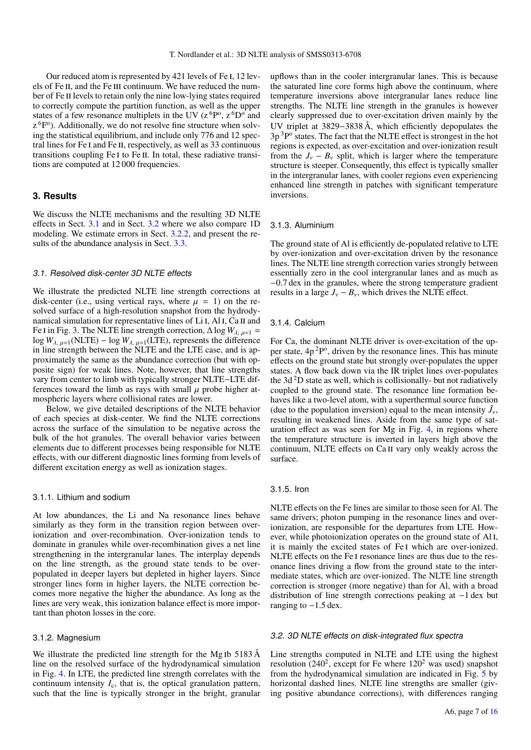Our reduced atom is represented by 421 levels of Fe i, 12 levels of Fe II, and the Fe III continuum. We have reduced the number of Fe II levels to retain only the nine low-lying states required to correctly compute the partition function, as well as the upper states of a few resonance multiplets in the UV ( $z^6P^o$ ,  $z^6D^o$  and  $z^6F^o$ ). Additionally, we do not resolve fine structure when solving the statistical equilibrium, and include only 776 and 12 spectral lines for Fe i and Fe ii, respectively, as well as 33 continuous transitions coupling Fe I to Fe II. In total, these radiative transitions are computed at 12 000 frequencies.

# <span id="page-6-0"></span>**3. Results**

We discuss the NLTE mechanisms and the resulting 3D NLTE effects in Sect. [3.1](#page-6-2) and in Sect. [3.2](#page-6-1) where we also compare 1D modeling. We estimate errors in Sect. [3.2.2,](#page-10-1) and present the results of the abundance analysis in Sect. [3.3.](#page-10-0)

#### <span id="page-6-2"></span>3.1. Resolved disk-center 3D NLTE effects

We illustrate the predicted NLTE line strength corrections at disk-center (i.e., using vertical rays, where  $\mu = 1$ ) on the resolved surface of a high-resolution snapshot from the hydrodynamical simulation for representative lines of Li<sub>I</sub>, Al<sub>I</sub>, Ca<sub>II</sub> and Fe I in Fig. [3.](#page-7-0) The NLTE line strength correction,  $\Delta \log W_{\lambda, \mu=1}$  = log  $W_{\lambda, \mu=1}(\text{NLTE}) - \log W_{\lambda, \mu=1}(\text{LTE})$ , represents the difference in line strength between the NLTE and the LTE case, and is approximately the same as the abundance correction (but with opposite sign) for weak lines. Note, however, that line strengths vary from center to limb with typically stronger NLTE−LTE differences toward the limb as rays with small  $\mu$  probe higher atmospheric layers where collisional rates are lower.

Below, we give detailed descriptions of the NLTE behavior of each species at disk-center. We find the NLTE corrections across the surface of the simulation to be negative across the bulk of the hot granules. The overall behavior varies between elements due to different processes being responsible for NLTE effects, with our different diagnostic lines forming from levels of different excitation energy as well as ionization stages.

#### 3.1.1. Lithium and sodium

At low abundances, the Li and Na resonance lines behave similarly as they form in the transition region between overionization and over-recombination. Over-ionization tends to dominate in granules while over-recombination gives a net line strengthening in the intergranular lanes. The interplay depends on the line strength, as the ground state tends to be overpopulated in deeper layers but depleted in higher layers. Since stronger lines form in higher layers, the NLTE correction becomes more negative the higher the abundance. As long as the lines are very weak, this ionization balance effect is more important than photon losses in the core.

## 3.1.2. Magnesium

We illustrate the predicted line strength for the Mg Ib 5183 Å line on the resolved surface of the hydrodynamical simulation in Fig. [4.](#page-8-0) In LTE, the predicted line strength correlates with the continuum intensity  $I_c$ , that is, the optical granulation pattern, such that the line is typically stronger in the bright, granular

upflows than in the cooler intergranular lanes. This is because the saturated line core forms high above the continuum, where temperature inversions above intergranular lanes reduce line strengths. The NLTE line strength in the granules is however clearly suppressed due to over-excitation driven mainly by the UV triplet at 3829−3838 Å, which efficiently depopulates the  $3p<sup>3</sup>P<sup>o</sup>$  states. The fact that the NLTE effect is strongest in the hot regions is expected, as over-excitation and over-ionization result from the  $J_v - B_v$  split, which is larger where the temperature structure is steeper. Consequently, this effect is typically smaller in the intergranular lanes, with cooler regions even experiencing enhanced line strength in patches with significant temperature inversions.

### 3.1.3. Aluminium

The ground state of Al is efficiently de-populated relative to LTE by over-ionization and over-excitation driven by the resonance lines. The NLTE line strength correction varies strongly between essentially zero in the cool intergranular lanes and as much as <sup>−</sup>0.7 dex in the granules, where the strong temperature gradient results in a large  $J_v - B_v$ , which drives the NLTE effect.

#### 3.1.4. Calcium

For Ca, the dominant NLTE driver is over-excitation of the upper state,  $4p^2P^{\circ}$ , driven by the resonance lines. This has minute effects on the ground state but strongly over-populates the upper states. A flow back down via the IR triplet lines over-populates the  $3d<sup>2</sup>D$  state as well, which is collisionally- but not radiatively coupled to the ground state. The resonance line formation behaves like a two-level atom, with a superthermal source function (due to the population inversion) equal to the mean intensity  $\bar{J}_y$ , resulting in weakened lines. Aside from the same type of sat resulting in weakened lines. Aside from the same type of saturation effect as was seen for Mg in Fig. [4,](#page-8-0) in regions where the temperature structure is inverted in layers high above the continuum, NLTE effects on Ca ii vary only weakly across the surface.

#### 3.1.5. Iron

NLTE effects on the Fe lines are similar to those seen for Al. The same drivers; photon pumping in the resonance lines and overionization, are responsible for the departures from LTE. However, while photoionization operates on the ground state of Al<sub>I</sub>, it is mainly the excited states of Fe i which are over-ionized. NLTE effects on the Fe i resonance lines are thus due to the resonance lines driving a flow from the ground state to the intermediate states, which are over-ionized. The NLTE line strength correction is stronger (more negative) than for Al, with a broad distribution of line strength corrections peaking at −1 dex but ranging to  $-1.5$  dex.

## <span id="page-6-1"></span>3.2. 3D NLTE effects on disk-integrated flux spectra

Line strengths computed in NLTE and LTE using the highest resolution  $(240^2)$ , except for Fe where  $120^2$  was used) snapshot from the hydrodynamical simulation are indicated in Fig. [5](#page-9-0) by horizontal dashed lines. NLTE line strengths are smaller (giving positive abundance corrections), with differences ranging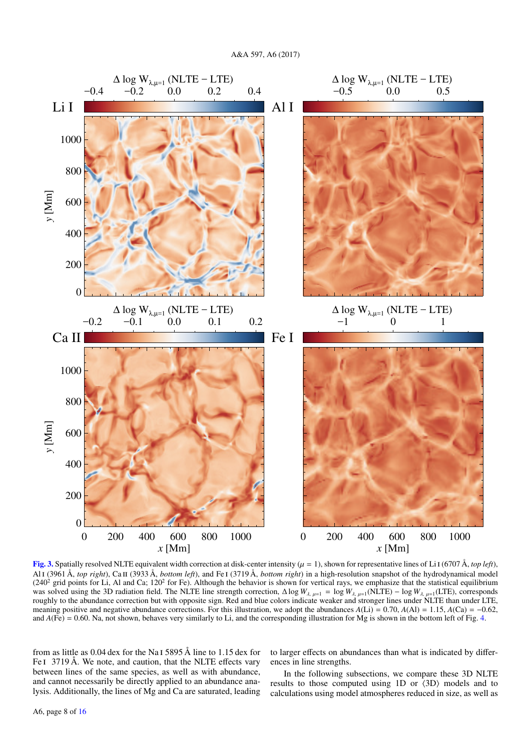

<span id="page-7-0"></span>[Fig. 3.](http://dexter.edpsciences.org/applet.php?DOI=10.1051/0004-6361/201629202&pdf_id=3) Spatially resolved NLTE equivalent width correction at disk-center intensity  $(\mu = 1)$ , shown for representative lines of Li I (6707 Å, *top left*), Al i (3961 Å, *top right*), Ca ii (3933 Å, *bottom left*), and Fe i (3719 Å, *bottom right*) in a high-resolution snapshot of the hydrodynamical model  $(240<sup>2</sup>$  grid points for Li, Al and Ca; 120<sup>2</sup> for Fe). Although the behavior is shown for vertical rays, we emphasize that the statistical equilibrium was solved using the 3D radiation field. The NLTE line strength correction,  $\Delta \log W_{\lambda, \mu=1} = \log W_{\lambda, \mu=1}(\text{NLTE}) - \log W_{\lambda, \mu=1}(\text{LTE})$ , corresponds roughly to the abundance correction but with opposite sign. Red and blue colors indicate weaker and stronger lines under NLTE than under LTE, meaning positive and negative abundance corrections. For this illustration, we adopt the abundances  $A(Li) = 0.70$ ,  $A(Ai) = 1.15$ ,  $A(Ca) = -0.62$ , and  $A$ (Fe) = 0.60. Na, not shown, behaves very similarly to Li, and the corresponding illustration for Mg is shown in the bottom left of Fig. [4.](#page-8-0)

from as little as 0.04 dex for the Na i 5895 Å line to 1.15 dex for Fe I 3719 Å. We note, and caution, that the NLTE effects vary between lines of the same species, as well as with abundance, and cannot necessarily be directly applied to an abundance analysis. Additionally, the lines of Mg and Ca are saturated, leading

to larger effects on abundances than what is indicated by differences in line strengths.

In the following subsections, we compare these 3D NLTE results to those computed using 1D or  $\langle 3D \rangle$  models and to calculations using model atmospheres reduced in size, as well as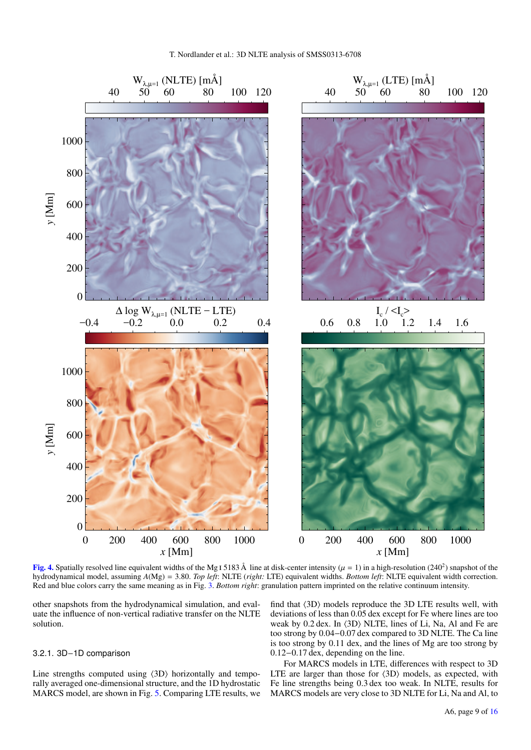

<span id="page-8-0"></span>**[Fig. 4.](http://dexter.edpsciences.org/applet.php?DOI=10.1051/0004-6361/201629202&pdf_id=4)** Spatially resolved line equivalent widths of the Mg I 5183 Å line at disk-center intensity ( $\mu = 1$ ) in a high-resolution (240<sup>2</sup>) snapshot of the hydrodynamical model assuming  $A(Mg) = 3.80$  *Top left*: NI TF *cr* hydrodynamical model, assuming *<sup>A</sup>*(Mg) <sup>=</sup> <sup>3</sup>.80. *Top left*: NLTE (*right:* LTE) equivalent widths. *Bottom left*: NLTE equivalent width correction. Red and blue colors carry the same meaning as in Fig. [3.](#page-7-0) *Bottom right*: granulation pattern imprinted on the relative continuum intensity.

other snapshots from the hydrodynamical simulation, and evaluate the influence of non-vertical radiative transfer on the NLTE solution.

## 3.2.1. 3D−1D comparison

Line strengths computed using  $\langle 3D \rangle$  horizontally and temporally averaged one-dimensional structure, and the 1D hydrostatic MARCS model, are shown in Fig. [5.](#page-9-0) Comparing LTE results, we

find that  $\langle 3D \rangle$  models reproduce the 3D LTE results well, with deviations of less than 0.05 dex except for Fe where lines are too weak by  $0.2$  dex. In  $(3D)$  NLTE, lines of Li, Na, Al and Fe are too strong by 0.04−0.07 dex compared to 3D NLTE. The Ca line is too strong by 0.11 dex, and the lines of Mg are too strong by 0.12−0.17 dex, depending on the line.

For MARCS models in LTE, differences with respect to 3D LTE are larger than those for  $\langle 3D \rangle$  models, as expected, with Fe line strengths being 0.3 dex too weak. In NLTE, results for MARCS models are very close to 3D NLTE for Li, Na and Al, to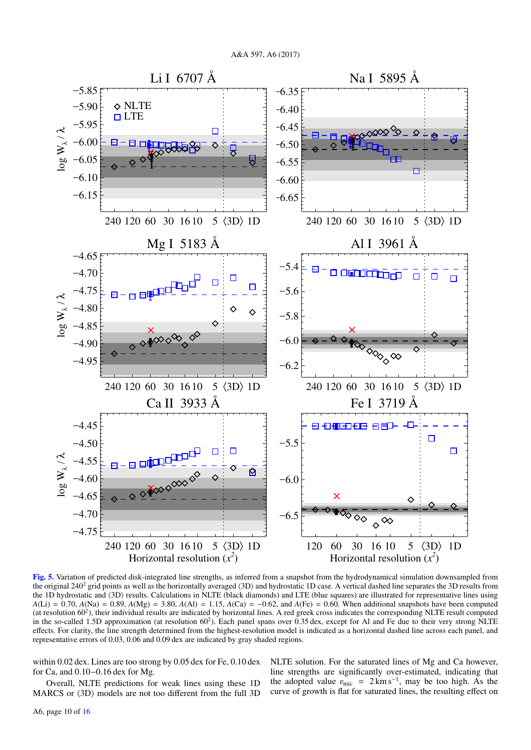

<span id="page-9-0"></span>[Fig. 5.](http://dexter.edpsciences.org/applet.php?DOI=10.1051/0004-6361/201629202&pdf_id=5) Variation of predicted disk-integrated line strengths, as inferred from a snapshot from the hydrodynamical simulation downsampled from the original  $240<sup>2</sup>$  grid points as well as the horizontally averaged  $\langle 3D \rangle$  and hydrostatic 1D case. A vertical dashed line separates the 3D results from the 1D hydrostatic and  $\langle 3D \rangle$  results. Calculations in NLTE (black diamonds) and LTE (blue squares) are illustrated for representative lines using *A*(Li) = 0.70, *A*(Na) = 0.89, *A*(Mg) = 3.80, *A*(Al) = 1.15, *A*(Ca) = −0.62, and *A*(Fe) = 0.60. When additional snapshots have been computed (at resolution  $60<sup>2</sup>$ ), their individual results are indicated by horizontal lines. A red greek cross indicates the corresponding NLTE result computed in the so-called 1.5D approximation (at resolution 60<sup>2</sup>). Each panel spans over 0.35 dex, except for Al and Fe due to their very strong NLTE effects. For clarity, the line strength determined from the highest-resolution model is indicated as a horizontal dashed line across each panel, and representative errors of 0.03, 0.06 and 0.09 dex are indicated by gray shaded regions.

within 0.02 dex. Lines are too strong by 0.05 dex for Fe, 0.10 dex for Ca, and 0.10−0.16 dex for Mg.

Overall, NLTE predictions for weak lines using these 1D MARCS or  $\langle 3D \rangle$  models are not too different from the full 3D

NLTE solution. For the saturated lines of Mg and Ca however, line strengths are significantly over-estimated, indicating that the adopted value  $v_{\text{mic}} = 2 \text{ km s}^{-1}$ , may be too high. As the curve of growth is flat for saturated lines the resulting effect on curve of growth is flat for saturated lines, the resulting effect on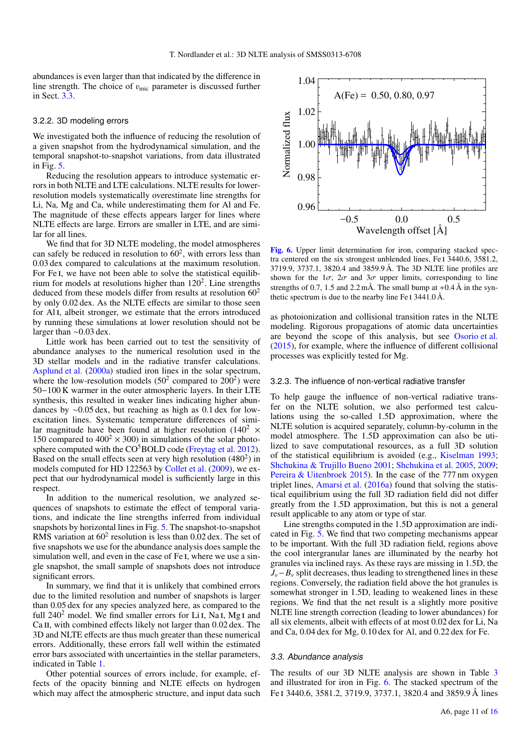abundances is even larger than that indicated by the difference in line strength. The choice of  $v_{\text{mic}}$  parameter is discussed further in Sect. [3.3.](#page-10-0)

#### <span id="page-10-1"></span>3.2.2. 3D modeling errors

We investigated both the influence of reducing the resolution of a given snapshot from the hydrodynamical simulation, and the temporal snapshot-to-snapshot variations, from data illustrated in Fig. [5.](#page-9-0)

Reducing the resolution appears to introduce systematic errors in both NLTE and LTE calculations. NLTE results for lowerresolution models systematically overestimate line strengths for Li, Na, Mg and Ca, while underestimating them for Al and Fe. The magnitude of these effects appears larger for lines where NLTE effects are large. Errors are smaller in LTE, and are similar for all lines.

We find that for 3D NLTE modeling, the model atmospheres can safely be reduced in resolution to  $60^2$ , with errors less than 0.03 dex compared to calculations at the maximum resolution. For Fe I, we have not been able to solve the statistical equilibrium for models at resolutions higher than  $120<sup>2</sup>$ . Line strengths deduced from these models differ from results at resolution  $60<sup>2</sup>$ by only 0.02 dex. As the NLTE effects are similar to those seen for Al<sub>I</sub>, albeit stronger, we estimate that the errors introduced by running these simulations at lower resolution should not be larger than ∼0.03 dex.

Little work has been carried out to test the sensitivity of abundance analyses to the numerical resolution used in the 3D stellar models and in the radiative transfer calculations. [Asplund et al.](#page-15-94) [\(2000a\)](#page-15-94) studied iron lines in the solar spectrum, where the low-resolution models  $(50^2 \text{ compared to } 200^2)$  were 50−100 K warmer in the outer atmospheric layers. In their LTE synthesis, this resulted in weaker lines indicating higher abundances by ∼0.05 dex, but reaching as high as 0.1 dex for lowexcitation lines. Systematic temperature differences of similar magnitude have been found at higher resolution (140<sup>2</sup>  $\times$ 150 compared to  $400^2 \times 300$ ) in simulations of the solar photosphere computed with the  $CO<sup>5</sup>BOLD$  code [\(Freytag et al.](#page-15-95) [2012\)](#page-15-95). Based on the small effects seen at very high resolution  $(480<sup>2</sup>)$  in models computed for HD 122563 by [Collet et al.](#page-15-96) [\(2009\)](#page-15-96), we expect that our hydrodynamical model is sufficiently large in this respect.

In addition to the numerical resolution, we analyzed sequences of snapshots to estimate the effect of temporal variations, and indicate the line strengths inferred from individual snapshots by horizontal lines in Fig. [5.](#page-9-0) The snapshot-to-snapshot RMS variation at  $60<sup>2</sup>$  resolution is less than 0.02 dex. The set of five snapshots we use for the abundance analysis does sample the simulation well, and even in the case of Fe I, where we use a single snapshot, the small sample of snapshots does not introduce significant errors.

In summary, we find that it is unlikely that combined errors due to the limited resolution and number of snapshots is larger than 0.05 dex for any species analyzed here, as compared to the full  $240^2$  model. We find smaller errors for Li I, Na I, Mg I and Ca II, with combined effects likely not larger than 0.02 dex. The 3D and NLTE effects are thus much greater than these numerical errors. Additionally, these errors fall well within the estimated error bars associated with uncertainties in the stellar parameters, indicated in Table [1.](#page-3-2)

Other potential sources of errors include, for example, effects of the opacity binning and NLTE effects on hydrogen which may affect the atmospheric structure, and input data such



<span id="page-10-2"></span>[Fig. 6.](http://dexter.edpsciences.org/applet.php?DOI=10.1051/0004-6361/201629202&pdf_id=6) Upper limit determination for iron, comparing stacked spectra centered on the six strongest unblended lines, Fe i 3440.6, 3581.2, 3719.9, 3737.1, 3820.4 and 3859.9 Å. The 3D NLTE line profiles are shown for the  $1\sigma$ ,  $2\sigma$  and  $3\sigma$  upper limits, corresponding to line strengths of 0.7, 1.5 and 2.2 mÅ. The small bump at  $+0.4 \text{ Å}$  in the synthetic spectrum is due to the nearby line Fe I 3441.0 Å.

as photoionization and collisional transition rates in the NLTE modeling. Rigorous propagations of atomic data uncertainties are beyond the scope of this analysis, but see [Osorio et al.](#page-15-77) [\(2015\)](#page-15-77), for example, where the influence of different collisional processes was explicitly tested for Mg.

#### 3.2.3. The influence of non-vertical radiative transfer

To help gauge the influence of non-vertical radiative transfer on the NLTE solution, we also performed test calculations using the so-called 1.5D approximation, where the NLTE solution is acquired separately, column-by-column in the model atmosphere. The 1.5D approximation can also be utilized to save computational resources, as a full 3D solution of the statistical equilibrium is avoided (e.g., [Kiselman](#page-15-97) [1993;](#page-15-97) [Shchukina & Trujillo Bueno](#page-15-98) [2001;](#page-15-98) [Shchukina et al.](#page-15-99) [2005,](#page-15-99) [2009;](#page-15-100) [Pereira & Uitenbroek](#page-15-101) [2015\)](#page-15-101). In the case of the 777 nm oxygen triplet lines, [Amarsi et al.](#page-15-25) [\(2016a\)](#page-15-25) found that solving the statistical equilibrium using the full 3D radiation field did not differ greatly from the 1.5D approximation, but this is not a general result applicable to any atom or type of star.

Line strengths computed in the 1.5D approximation are indicated in Fig. [5.](#page-9-0) We find that two competing mechanisms appear to be important. With the full 3D radiation field, regions above the cool intergranular lanes are illuminated by the nearby hot granules via inclined rays. As these rays are missing in 1.5D, the  $J_{\nu}$ −*B*<sub>ν</sub> split decreases, thus leading to strengthened lines in these regions. Conversely, the radiation field above the hot granules is somewhat stronger in 1.5D, leading to weakened lines in these regions. We find that the net result is a slightly more positive NLTE line strength correction (leading to lower abundances) for all six elements, albeit with effects of at most 0.02 dex for Li, Na and Ca, 0.04 dex for Mg, 0.10 dex for Al, and 0.22 dex for Fe.

## <span id="page-10-0"></span>3.3. Abundance analysis

The results of our 3D NLTE analysis are shown in Table [3](#page-11-0) and illustrated for iron in Fig. [6.](#page-10-2) The stacked spectrum of the Fe i 3440.6, 3581.2, 3719.9, 3737.1, 3820.4 and 3859.9 Å lines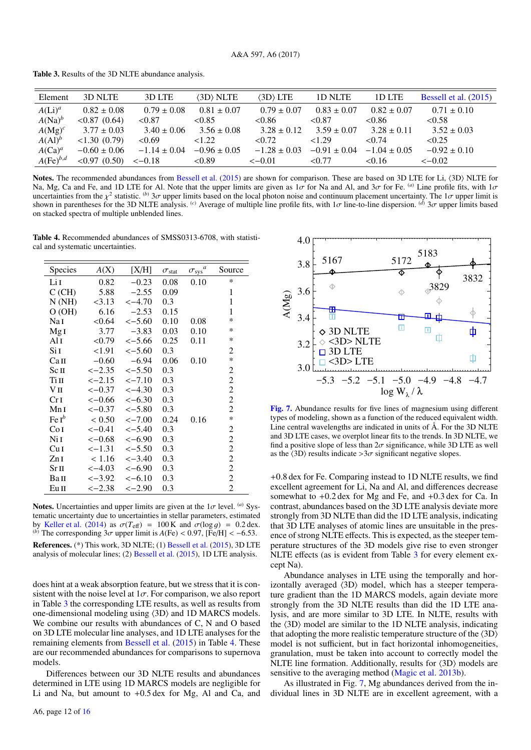<span id="page-11-0"></span>Table 3. Results of the 3D NLTE abundance analysis.

| Element       | 3D NLTE          | 3D LTE           | (3D) NLTE        | $\langle 3D \rangle$ LTE | 1D NLTE          | 1D LTE           | Bessell et al. (2015) |
|---------------|------------------|------------------|------------------|--------------------------|------------------|------------------|-----------------------|
| $A(Li)^a$     | $0.82 \pm 0.08$  | $0.79 \pm 0.08$  | $0.81 \pm 0.07$  | $0.79 \pm 0.07$          | $0.83 \pm 0.07$  | $0.82 \pm 0.07$  | $0.71 \pm 0.10$       |
| $A(Na)^b$     | $< 0.87$ (0.64)  | < 0.87           | < 0.85           | < 0.86                   | ${<}0.87$        | < 0.86           | < 0.58                |
| $A(Mg)^c$     | $3.77 \pm 0.03$  | $3.40 \pm 0.06$  | $3.56 \pm 0.08$  | $3.28 \pm 0.12$          | $3.59 \pm 0.07$  | $3.28 \pm 0.11$  | $3.52 \pm 0.03$       |
| $A(Al)^b$     | <1.30(0.79)      | < 0.69           | 1.22             | < 0.72                   | <1.29            | $\leq 0.74$      | < 0.25                |
| $A(Ca)^a$     | $-0.60 \pm 0.06$ | $-1.14 \pm 0.04$ | $-0.96 \pm 0.05$ | $-1.28 \pm 0.03$         | $-0.91 \pm 0.04$ | $-1.04 \pm 0.05$ | $-0.92 \pm 0.10$      |
| $A(Fe)^{b,d}$ | $< 0.97$ (0.50)  | $<-0.18$         | < 0.89           | $\leq -0.01$             | < 0.77           | < 0.16           | $<-0.02$              |
|               |                  |                  |                  |                          |                  |                  |                       |

Notes. The recommended abundances from [Bessell et al.](#page-15-19)  $(2015)$  are shown for comparison. These are based on 3D LTE for Li,  $\langle 3D \rangle$  NLTE for Na, Mg, Ca and Fe, and 1D LTE for Al. Note that the upper limits are given as  $1\sigma$  for Na and Al, and  $3\sigma$  for Fe. <sup>(a)</sup> Line profile fits, with  $1\sigma$ <br>uncertainties from the  $v^2$  statistic. <sup>(b)</sup>  $3\sigma$  upper limits bas uncertainties from the  $\chi^2$  statistic. <sup>(b)</sup> 3*σ* upper limits based on the local photon noise and continuum placement uncertainty. The 1*σ* upper limit is<br>shown in parentheses for the 3D NLTE analysis. <sup>(c)</sup> Average of shown in parentheses for the 3D NLTE analysis. <sup>(c)</sup> Average of multiple line profile fits, with 1σ line-to-line dispersion. <sup>(d)</sup> 3σ upper limits based<br>on stacked spectra of multiple upblended lines on stacked spectra of multiple unblended lines.

<span id="page-11-1"></span>Table 4. Recommended abundances of SMSS0313-6708, with statistical and systematic uncertainties.

| Species                 | A(X)        | [X/H]             | $\sigma_{\rm stat}$ | $\sigma_{\rm sys}{}^a$ | Source         |
|-------------------------|-------------|-------------------|---------------------|------------------------|----------------|
| Li I                    | 0.82        | $-0.23$           | 0.08                | 0.10                   | *              |
| C(GH)                   | 5.88        | $-2.55$           | 0.09                |                        | 1              |
| N(NH)                   | < 3.13      | $\le -4.70$       | 0.3                 |                        | 1              |
| O(OH)                   | 6.16        | $-2.53$           | 0.15                |                        | 1              |
| Nai                     | < 0.64      | $\le -5.60$       | 0.10                | 0.08                   | *              |
| Mg <sub>I</sub>         | 3.77        | $-3.83$           | 0.03                | 0.10                   | $\ast$         |
| Al I                    | < 0.79      | $\le -5.66$       | 0.25                | 0.11                   | ∗              |
| SiI                     | <1.91       | $\le -5.60$       | 0.3                 |                        | 2              |
| Ca <sub>II</sub>        | $-0.60$     | $-6.94$           | 0.06                | 0.10                   | $\ast$         |
| Scп                     | $<-2.35$    | $\le -5.50$       | 0.3                 |                        | 2              |
| Tiп                     | $<-2.15$    | $<-7.10$          | 0.3                 |                        | 2              |
| Vп                      | $<-0.37$    | $<-4.30$          | 0.3                 |                        | 2              |
| Cr <sub>I</sub>         | $<-0.66$    | $<-6.30$          | 0.3                 |                        | 2              |
| MnI                     | $<-0.37$    | $\le -5.80$       | 0.3                 |                        | 2              |
| $\operatorname{Fe} I^b$ | < 0.50      | $<-7.00$          | 0.24                | 0.16                   | $\ast$         |
| Co <sub>I</sub>         | $<-0.41$    | $\leftarrow$ 5.40 | 0.3                 |                        | 2              |
| N <sub>i</sub> I        | $<-0.68$    | $<-6.90$          | 0.3                 |                        | $\overline{c}$ |
| Cu <sub>I</sub>         | $\le -1.31$ | $\le -5.50$       | 0.3                 |                        | $\overline{c}$ |
| ZnI                     | < 1.16      | $<-3.40$          | 0.3                 |                        | $\overline{c}$ |
| $Sr\,\Pi$               | $<-4.03$    | $<-6.90$          | 0.3                 |                        | $\overline{c}$ |
| BaII                    | $<-3.92$    | $\le -6.10$       | 0.3                 |                        | $\overline{c}$ |
| Eu II                   | $<-2.38$    | $<-2.90$          | 0.3                 |                        | 2              |
|                         |             |                   |                     |                        |                |

Notes. Uncertainties and upper limits are given at the  $1\sigma$  level. <sup>(a)</sup> Systematic uncertainty due to uncertainties in stellar parameters, estimated by [Keller et al.](#page-15-18) [\(2014\)](#page-15-18) as  $\sigma(T_{\text{eff}}) = 100 \text{ K}$  and  $\sigma(\log g) = 0.2 \text{ dex}$ .<br>(b) The corresponding  $3\sigma$  upper limit is  $A(\text{Fe}) < 0.97$  [Fe/H]  $< -6.53$ (*b*) The corresponding  $3\sigma$  upper limit is  $A$ (Fe) < 0.97, [Fe/H] < -6.53. References. (\*) This work, 3D NLTE; (1) [Bessell et al.](#page-15-19) [\(2015\)](#page-15-19), 3D LTE analysis of molecular lines; (2) [Bessell et al.](#page-15-19) [\(2015\)](#page-15-19), 1D LTE analysis.

does hint at a weak absorption feature, but we stress that it is consistent with the noise level at  $1\sigma$ . For comparison, we also report in Table [3](#page-11-0) the corresponding LTE results, as well as results from one-dimensional modeling using  $\langle 3D \rangle$  and 1D MARCS models. We combine our results with abundances of C, N and O based on 3D LTE molecular line analyses, and 1D LTE analyses for the remaining elements from [Bessell et al.](#page-15-19) [\(2015\)](#page-15-19) in Table [4.](#page-11-1) These are our recommended abundances for comparisons to supernova models.

Differences between our 3D NLTE results and abundances determined in LTE using 1D MARCS models are negligible for Li and Na, but amount to <sup>+</sup>0.5 dex for Mg, Al and Ca, and



<span id="page-11-2"></span>[Fig. 7.](http://dexter.edpsciences.org/applet.php?DOI=10.1051/0004-6361/201629202&pdf_id=7) Abundance results for five lines of magnesium using different types of modeling, shown as a function of the reduced equivalent width. Line central wavelengths are indicated in units of Å. For the 3D NLTE and 3D LTE cases, we overplot linear fits to the trends. In 3D NLTE, we find a positive slope of less than  $2\sigma$  significance, while 3D LTE as well as the  $\langle 3D \rangle$  results indicate  $>3\sigma$  significant negative slopes.

<sup>+</sup>0.8 dex for Fe. Comparing instead to 1D NLTE results, we find excellent agreement for Li, Na and Al, and differences decrease somewhat to <sup>+</sup>0.2 dex for Mg and Fe, and <sup>+</sup>0.3 dex for Ca. In contrast, abundances based on the 3D LTE analysis deviate more strongly from 3D NLTE than did the 1D LTE analysis, indicating that 3D LTE analyses of atomic lines are unsuitable in the presence of strong NLTE effects. This is expected, as the steeper temperature structures of the 3D models give rise to even stronger NLTE effects (as is evident from Table [3](#page-11-0) for every element except Na).

Abundance analyses in LTE using the temporally and horizontally averaged  $\langle 3D \rangle$  model, which has a steeper temperature gradient than the 1D MARCS models, again deviate more strongly from the 3D NLTE results than did the 1D LTE analysis, and are more similar to 3D LTE. In NLTE, results with the  $\langle 3D \rangle$  model are similar to the 1D NLTE analysis, indicating that adopting the more realistic temperature structure of the  $\langle 3D \rangle$ model is not sufficient, but in fact horizontal inhomogeneities, granulation, must be taken into account to correctly model the NLTE line formation. Additionally, results for  $\langle 3D \rangle$  models are sensitive to the averaging method [\(Magic et al.](#page-15-28) [2013b\)](#page-15-28).

As illustrated in Fig. [7,](#page-11-2) Mg abundances derived from the individual lines in 3D NLTE are in excellent agreement, with a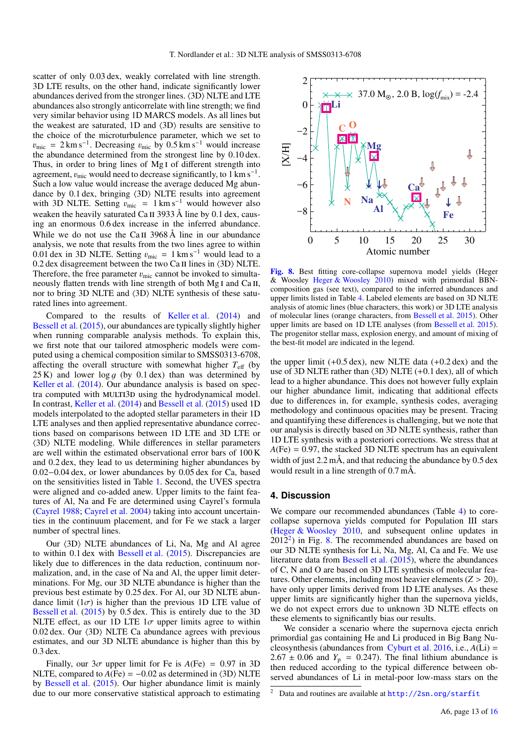scatter of only 0.03 dex, weakly correlated with line strength. 3D LTE results, on the other hand, indicate significantly lower abundances derived from the stronger lines.  $\langle 3D \rangle$  NLTE and LTE abundances also strongly anticorrelate with line strength; we find very similar behavior using 1D MARCS models. As all lines but the weakest are saturated,  $1D$  and  $\langle 3D \rangle$  results are sensitive to the choice of the microturbulence parameter, which we set to  $v_{\text{mic}} = 2 \text{ km s}^{-1}$ . Decreasing  $v_{\text{mic}}$  by 0.5 km s<sup>-1</sup> would increase the abundance determined from the strongest line by 0.10 dex the abundance determined from the strongest line by 0.10 dex. Thus, in order to bring lines of Mg<sub>I</sub> of different strength into agreement,  $v_{\text{mic}}$  would need to decrease significantly, to 1 km s<sup>−1</sup>.<br>Such a low value would increase the average deduced Mg abun-Such a low value would increase the average deduced Mg abundance by  $0.1$  dex, bringing  $\langle 3D \rangle$  NLTE results into agreement with 3D NLTE. Setting  $v_{\text{mic}} = 1 \text{ km s}^{-1}$  would however also weaken the heavily saturated Ca  $\text{II}$  3933 Å line by 0.1 dex, causing an enormous 0.6 dex increase in the inferred abundance. While we do not use the Ca II 3968 Å line in our abundance analysis, we note that results from the two lines agree to within 0.01 dex in 3D NLTE. Setting  $v_{\text{mic}} = 1 \text{ km s}^{-1}$  would lead to a 0.2 dex disagreement between the two Ca II lines in  $\langle 3D \rangle$  NLTE. Therefore, the free parameter  $v_{\text{mic}}$  cannot be invoked to simultaneously flatten trends with line strength of both Mg I and Ca II, nor to bring 3D NLTE and  $\langle 3D \rangle$  NLTE synthesis of these saturated lines into agreement.

Compared to the results of [Keller et al.](#page-15-18) [\(2014\)](#page-15-18) and [Bessell et al.](#page-15-19) [\(2015\)](#page-15-19), our abundances are typically slightly higher when running comparable analysis methods. To explain this, we first note that our tailored atmospheric models were computed using a chemical composition similar to SMSS0313-6708, affecting the overall structure with somewhat higher  $T_{\text{eff}}$  (by 25 K) and lower  $\log q$  (by 0.1 dex) than was determined by [Keller et al.](#page-15-18) [\(2014\)](#page-15-18). Our abundance analysis is based on spectra computed with MULTI3D using the hydrodynamical model. In contrast, [Keller et al.](#page-15-18) [\(2014\)](#page-15-18) and [Bessell et al.](#page-15-19) [\(2015\)](#page-15-19) used 1D models interpolated to the adopted stellar parameters in their 1D LTE analyses and then applied representative abundance corrections based on comparisons between 1D LTE and 3D LTE or  $\langle 3D \rangle$  NLTE modeling. While differences in stellar parameters are well within the estimated observational error bars of 100 K and 0.2 dex, they lead to us determining higher abundances by 0.02−0.04 dex, or lower abundances by 0.05 dex for Ca, based on the sensitivities listed in Table [1.](#page-3-2) Second, the UVES spectra were aligned and co-added anew. Upper limits to the faint features of Al, Na and Fe are determined using Cayrel's formula [\(Cayrel](#page-15-37) [1988;](#page-15-37) [Cayrel et al.](#page-15-38) [2004\)](#page-15-38) taking into account uncertainties in the continuum placement, and for Fe we stack a larger number of spectral lines.

Our  $\langle 3D \rangle$  NLTE abundances of Li, Na, Mg and Al agree to within 0.1 dex with [Bessell et al.](#page-15-19) [\(2015\)](#page-15-19). Discrepancies are likely due to differences in the data reduction, continuum normalization, and, in the case of Na and Al, the upper limit determinations. For Mg, our 3D NLTE abundance is higher than the previous best estimate by 0.25 dex. For Al, our 3D NLTE abundance limit  $(1\sigma)$  is higher than the previous 1D LTE value of [Bessell et al.](#page-15-19) [\(2015\)](#page-15-19) by 0.5 dex. This is entirely due to the 3D NLTE effect, as our 1D LTE  $1\sigma$  upper limits agree to within  $0.02$  dex. Our  $\langle 3D \rangle$  NLTE Ca abundance agrees with previous estimates, and our 3D NLTE abundance is higher than this by 0.3 dex.

Finally, our  $3\sigma$  upper limit for Fe is  $A$ (Fe) = 0.97 in 3D NLTE, compared to  $A$ (Fe) =  $-0.02$  as determined in  $\langle 3D \rangle$  NLTE by [Bessell et al.](#page-15-19) [\(2015\)](#page-15-19). Our higher abundance limit is mainly due to our more conservative statistical approach to estimating



<span id="page-12-2"></span>[Fig. 8.](http://dexter.edpsciences.org/applet.php?DOI=10.1051/0004-6361/201629202&pdf_id=8) Best fitting core-collapse supernova model yields (Heger & Woosley [Heger & Woosley](#page-15-102) [2010\)](#page-15-102) mixed with primordial BBNcomposition gas (see text), compared to the inferred abundances and upper limits listed in Table [4.](#page-11-1) Labeled elements are based on 3D NLTE analysis of atomic lines (blue characters, this work) or 3D LTE analysis of molecular lines (orange characters, from [Bessell et al.](#page-15-19) [2015\)](#page-15-19). Other upper limits are based on 1D LTE analyses (from [Bessell et al.](#page-15-19) [2015\)](#page-15-19). The progenitor stellar mass, explosion energy, and amount of mixing of the best-fit model are indicated in the legend.

the upper limit  $(+0.5 \text{ dex})$ , new NLTE data  $(+0.2 \text{ dex})$  and the use of 3D NLTE rather than  $\langle 3D \rangle$  NLTE (+0.1 dex), all of which lead to a higher abundance. This does not however fully explain our higher abundance limit, indicating that additional effects due to differences in, for example, synthesis codes, averaging methodology and continuous opacities may be present. Tracing and quantifying these differences is challenging, but we note that our analysis is directly based on 3D NLTE synthesis, rather than 1D LTE synthesis with a posteriori corrections. We stress that at  $A$ (Fe) = 0.97, the stacked 3D NLTE spectrum has an equivalent width of just 2.2 mÅ, and that reducing the abundance by 0.5 dex would result in a line strength of 0.7 mÅ.

# <span id="page-12-0"></span>**4. Discussion**

We compare our recommended abundances (Table [4\)](#page-11-1) to corecollapse supernova yields computed for Population III stars [\(Heger & Woosley](#page-15-102) [2010,](#page-15-102) and subsequent online updates in  $2012<sup>2</sup>$  $2012<sup>2</sup>$ ) in Fig. [8.](#page-12-2) The recommended abundances are based on our 3D NLTE synthesis for Li, Na, Mg, Al, Ca and Fe. We use literature data from [Bessell et al.](#page-15-19) [\(2015\)](#page-15-19), where the abundances of C, N and O are based on 3D LTE synthesis of molecular features. Other elements, including most heavier elements  $(Z > 20)$ , have only upper limits derived from 1D LTE analyses. As these upper limits are significantly higher than the supernova yields, we do not expect errors due to unknown 3D NLTE effects on these elements to significantly bias our results.

We consider a scenario where the supernova ejecta enrich primordial gas containing He and Li produced in Big Bang Nucleosynthesis (abundances from [Cyburt et al.](#page-15-103) [2016,](#page-15-103) i.e., *A*(Li) =  $2.67 \pm 0.06$  and  $Y_p = 0.247$ ). The final lithium abundance is then reduced according to the typical difference between observed abundances of Li in metal-poor low-mass stars on the

<span id="page-12-1"></span>Data and routines are available at <http://2sn.org/starfit>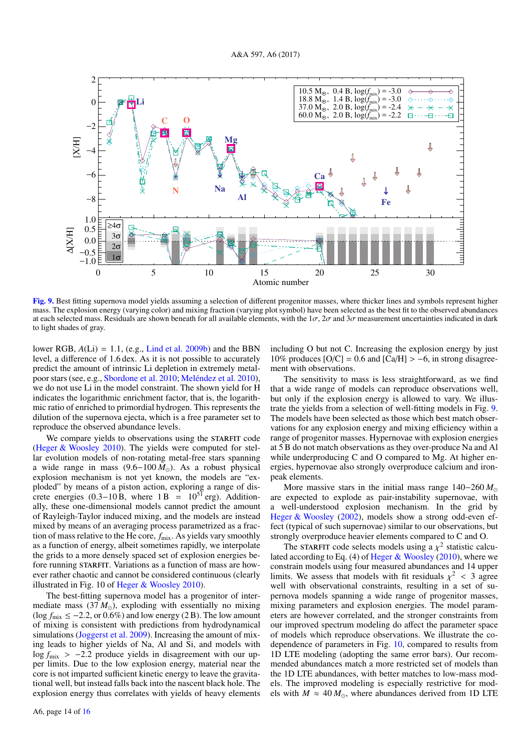

<span id="page-13-0"></span>[Fig. 9.](http://dexter.edpsciences.org/applet.php?DOI=10.1051/0004-6361/201629202&pdf_id=9) Best fitting supernova model yields assuming a selection of different progenitor masses, where thicker lines and symbols represent higher mass. The explosion energy (varying color) and mixing fraction (varying plot symbol) have been selected as the best fit to the observed abundances at each selected mass. Residuals are shown beneath for all available elements, with the  $1\sigma$ ,  $2\sigma$  and  $3\sigma$  measurement uncertainties indicated in dark to light shades of gray.

lower RGB, *<sup>A</sup>*(Li) <sup>=</sup> <sup>1</sup>.1, (e.g., [Lind et al.](#page-15-104) [2009b\)](#page-15-104) and the BBN level, a difference of 1.6 dex. As it is not possible to accurately predict the amount of intrinsic Li depletion in extremely metalpoor stars (see, e.g., [Sbordone et al.](#page-15-24) [2010;](#page-15-24) [Meléndez et al.](#page-15-105) [2010\)](#page-15-105), we do not use Li in the model constraint. The shown yield for H indicates the logarithmic enrichment factor, that is, the logarithmic ratio of enriched to primordial hydrogen. This represents the dilution of the supernova ejecta, which is a free parameter set to reproduce the observed abundance levels.

We compare yields to observations using the STARFIT code [\(Heger & Woosley](#page-15-102) [2010\)](#page-15-102). The yields were computed for stellar evolution models of non-rotating metal-free stars spanning a wide range in mass (9.6−100 *M*). As a robust physical explosion mechanism is not yet known, the models are "exploded" by means of a piston action, exploring a range of discrete energies (0.3–10 B, where  $1 B = 10^{51}$  erg). Additionally, these one-dimensional models cannot predict the amount of Rayleigh-Taylor induced mixing, and the models are instead mixed by means of an averaging process parametrized as a fraction of mass relative to the He core,  $f_{\text{mix}}$ . As yields vary smoothly as a function of energy, albeit sometimes rapidly, we interpolate the grids to a more densely spaced set of explosion energies before running STARFIT. Variations as a function of mass are however rather chaotic and cannot be considered continuous (clearly illustrated in Fig. 10 of [Heger & Woosley](#page-15-102) [2010\)](#page-15-102).

The best-fitting supernova model has a progenitor of intermediate mass  $(37 M_{\odot})$ , exploding with essentially no mixing (log  $f_{\text{mix}} \le -2.2$ , or 0.6%) and low energy (2 B). The low amount of mixing is consistent with predictions from hydrodynamical simulations [\(Joggerst et al.](#page-15-106) [2009\)](#page-15-106). Increasing the amount of mixing leads to higher yields of Na, Al and Si, and models with log *f*<sub>mix</sub> > −2.2 produce yields in disagreement with our upper limits. Due to the low explosion energy, material near the core is not imparted sufficient kinetic energy to leave the gravitational well, but instead falls back into the nascent black hole. The explosion energy thus correlates with yields of heavy elements

including O but not C. Increasing the explosion energy by just 10% produces  $[O/C] = 0.6$  and  $[Ca/H] > -6$ , in strong disagreement with observations.

The sensitivity to mass is less straightforward, as we find that a wide range of models can reproduce observations well, but only if the explosion energy is allowed to vary. We illustrate the yields from a selection of well-fitting models in Fig. [9.](#page-13-0) The models have been selected as those which best match observations for any explosion energy and mixing efficiency within a range of progenitor masses. Hypernovae with explosion energies at 5 B do not match observations as they over-produce Na and Al while underproducing C and O compared to Mg. At higher energies, hypernovae also strongly overproduce calcium and ironpeak elements.

More massive stars in the initial mass range 140−260 *M* are expected to explode as pair-instability supernovae, with a well-understood explosion mechanism. In the grid by [Heger & Woosley](#page-15-107) [\(2002\)](#page-15-107), models show a strong odd-even effect (typical of such supernovae) similar to our observations, but strongly overproduce heavier elements compared to C and O.

The STARFIT code selects models using a  $\chi^2$  statistic calcu-<br>d according to Eq. (4) of Heger & Woosley (2010), where we lated according to Eq. (4) of [Heger & Woosley](#page-15-102) [\(2010\)](#page-15-102), where we constrain models using four measured abundances and 14 upper limits. We assess that models with fit residuals  $\chi^2 < 3$  agrees well with observational constraints resulting in a set of suwell with observational constraints, resulting in a set of supernova models spanning a wide range of progenitor masses, mixing parameters and explosion energies. The model parameters are however correlated, and the stronger constraints from our improved spectrum modeling do affect the parameter space of models which reproduce observations. We illustrate the codependence of parameters in Fig. [10,](#page-14-0) compared to results from 1D LTE modeling (adopting the same error bars). Our recommended abundances match a more restricted set of models than the 1D LTE abundances, with better matches to low-mass models. The improved modeling is especially restrictive for models with  $M \approx 40 M_{\odot}$ , where abundances derived from 1D LTE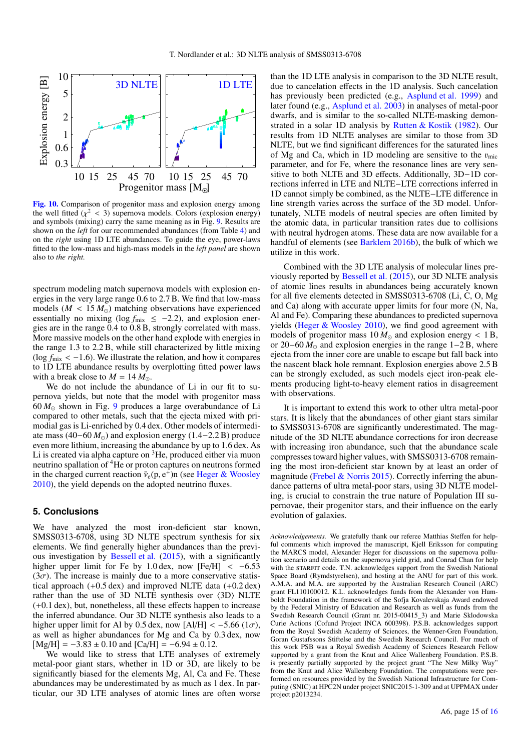

<span id="page-14-0"></span>[Fig. 10.](http://dexter.edpsciences.org/applet.php?DOI=10.1051/0004-6361/201629202&pdf_id=10) Comparison of progenitor mass and explosion energy among the well fitted  $(\chi^2 < 3)$  supernova models. Colors (explosion energy) and symbols (mixing) carry the same meaning as in Fig. 9. Results are and symbols (mixing) carry the same meaning as in Fig. [9.](#page-13-0) Results are shown on the *left* for our recommended abundances (from Table [4\)](#page-11-1) and on the *right* using 1D LTE abundances. To guide the eye, power-laws fitted to the low-mass and high-mass models in the *left panel* are shown also to *the right.*

spectrum modeling match supernova models with explosion energies in the very large range 0.6 to 2.7 B. We find that low-mass models ( $M < 15 M_{\odot}$ ) matching observations have experienced<br>essentially no mixing (log  $f_{\text{min}} < -2.2$ ) and explosion eneressentially no mixing ( $\log f_{\text{mix}} \le -2.2$ ), and explosion energies are in the range 0.4 to 0.8 B, strongly correlated with mass. More massive models on the other hand explode with energies in the range 1.3 to 2.2 B, while still characterized by little mixing (log  $f_{\text{mix}} < -1.6$ ). We illustrate the relation, and how it compares to 1D LTE abundance results by overplotting fitted power laws with a break close to  $M = 14 M_{\odot}$ .

We do not include the abundance of Li in our fit to supernova yields, but note that the model with progenitor mass  $60 M_{\odot}$  shown in Fig. [9](#page-13-0) produces a large overabundance of Li compared to other metals, such that the ejecta mixed with primodial gas is Li-enriched by 0.4 dex. Other models of intermediate mass  $(40-60 M<sub>o</sub>)$  and explosion energy  $(1.4-2.2 B)$  produce even more lithium, increasing the abundance by up to 1.6 dex. As Li is created via alpha capture on <sup>3</sup>He, produced either via muon neutrino spallation of <sup>4</sup>He or proton captures on neutrons formed in the charged current reaction  $\bar{v}_{e}(p, e^{+})$ n (see [Heger & Woosley](#page-15-102) 2010) the vield depends on the adopted neutrino fluxes [2010\)](#page-15-102), the yield depends on the adopted neutrino fluxes.

# **5. Conclusions**

We have analyzed the most iron-deficient star known, SMSS0313-6708, using 3D NLTE spectrum synthesis for six elements. We find generally higher abundances than the previous investigation by [Bessell et al.](#page-15-19) [\(2015\)](#page-15-19), with a significantly higher upper limit for Fe by 1.0 dex, now  $[Fe/H] < -6.53$  $(3\sigma)$ . The increase is mainly due to a more conservative statistical approach (+0.5 dex) and improved NLTE data (+0.2 dex) rather than the use of 3D NLTE synthesis over  $\langle 3D \rangle$  NLTE (+0.1 dex), but, nonetheless, all these effects happen to increase the inferred abundance. Our 3D NLTE synthesis also leads to a higher upper limit for Al by 0.5 dex, now [Al/H] <  $-5.66$  ( $1\sigma$ ), as well as higher abundances for Mg and Ca by 0.3 dex, now  $[Mg/H] = -3.83 \pm 0.10$  and  $[Ca/H] = -6.94 \pm 0.12$ .<br>We would like to stress that LTE analyses of

We would like to stress that LTE analyses of extremely metal-poor giant stars, whether in 1D or 3D, are likely to be significantly biased for the elements Mg, Al, Ca and Fe. These abundances may be underestimated by as much as 1 dex. In particular, our 3D LTE analyses of atomic lines are often worse

than the 1D LTE analysis in comparison to the 3D NLTE result, due to cancelation effects in the 1D analysis. Such cancelation has previously been predicted (e.g., [Asplund et al.](#page-15-45) [1999\)](#page-15-45) and later found (e.g., [Asplund et al.](#page-15-21) [2003\)](#page-15-21) in analyses of metal-poor dwarfs, and is similar to the so-called NLTE-masking demonstrated in a solar 1D analysis by Rutten  $& Kostik$  [\(1982\)](#page-15-108). Our results from 1D NLTE analyses are similar to those from 3D NLTE, but we find significant differences for the saturated lines of Mg and Ca, which in 1D modeling are sensitive to the  $v_{\text{mic}}$ parameter, and for Fe, where the resonance lines are very sensitive to both NLTE and 3D effects. Additionally, 3D−1D corrections inferred in LTE and NLTE−LTE corrections inferred in 1D cannot simply be combined, as the NLTE−LTE difference in line strength varies across the surface of the 3D model. Unfortunately, NLTE models of neutral species are often limited by the atomic data, in particular transition rates due to collisions with neutral hydrogen atoms. These data are now available for a handful of elements (see [Barklem](#page-15-63) [2016b\)](#page-15-63), the bulk of which we utilize in this work.

Combined with the 3D LTE analysis of molecular lines previously reported by [Bessell et al.](#page-15-19) [\(2015\)](#page-15-19), our 3D NLTE analysis of atomic lines results in abundances being accurately known for all five elements detected in SMSS0313-6708 (Li, C, O, Mg and Ca) along with accurate upper limits for four more (N, Na, Al and Fe). Comparing these abundances to predicted supernova yields [\(Heger & Woosley](#page-15-102) [2010\)](#page-15-102), we find good agreement with models of progenitor mass  $10 M_{\odot}$  and explosion energy < 1 B, or 20–60  $\dot{M}_{\odot}$  and explosion energies in the range 1–2 B, where ejecta from the inner core are unable to escape but fall back into the nascent black hole remnant. Explosion energies above 2.5 B can be strongly excluded, as such models eject iron-peak elements producing light-to-heavy element ratios in disagreement with observations.

It is important to extend this work to other ultra metal-poor stars. It is likely that the abundances of other giant stars similar to SMSS0313-6708 are significantly underestimated. The magnitude of the 3D NLTE abundance corrections for iron decrease with increasing iron abundance, such that the abundance scale compresses toward higher values, with SMSS0313-6708 remaining the most iron-deficient star known by at least an order of magnitude (Frebel  $\&$  Norris [2015\)](#page-15-109). Correctly inferring the abundance patterns of ultra metal-poor stars, using 3D NLTE modeling, is crucial to constrain the true nature of Population III supernovae, their progenitor stars, and their influence on the early evolution of galaxies.

*Acknowledgements.* We gratefully thank our referee Matthias Steffen for helpful comments which improved the manuscript, Kjell Eriksson for computing the MARCS model, Alexander Heger for discussions on the supernova pollution scenario and details on the supernova yield grid, and Conrad Chan for help with the STARFIT code. T.N. acknowledges support from the Swedish National Space Board (Rymdstyrelsen), and hosting at the ANU for part of this work. A.M.A. and M.A. are supported by the Australian Research Council (ARC) grant FL110100012. K.L. acknowledges funds from the Alexander von Humboldt Foundation in the framework of the Sofja Kovalevskaja Award endowed by the Federal Ministry of Education and Research as well as funds from the Swedish Research Council (Grant nr. 2015-00415\_3) and Marie Sklodowska Curie Actions (Cofund Project INCA 600398). P.S.B. acknowledges support from the Royal Swedish Academy of Sciences, the Wenner-Gren Foundation, Goran Gustafssons Stiftelse and the Swedish Research Council. For much of this work PSB was a Royal Swedish Academy of Sciences Research Fellow supported by a grant from the Knut and Alice Wallenberg Foundation. P.S.B. is presently partially supported by the project grant "The New Milky Way" from the Knut and Alice Wallenberg Foundation. The computations were performed on resources provided by the Swedish National Infrastructure for Computing (SNIC) at HPC2N under project SNIC2015-1-309 and at UPPMAX under project p2013234.